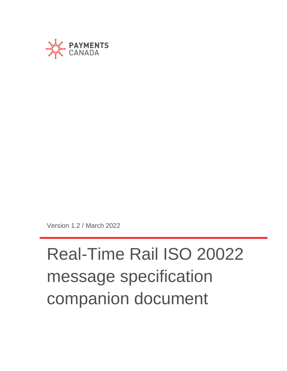

Version 1.2 / March 2022

# Real-Time Rail ISO 20022 message specification companion document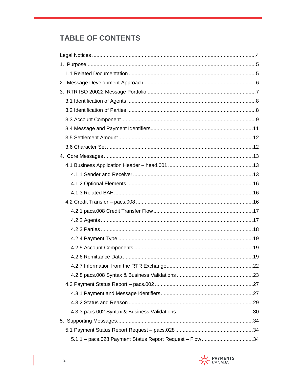# **TABLE OF CONTENTS**

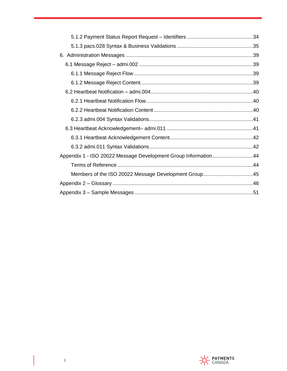| Appendix 1 - ISO 20022 Message Development Group Information44 |  |
|----------------------------------------------------------------|--|
|                                                                |  |
| Members of the ISO 20022 Message Development Group45           |  |
|                                                                |  |
|                                                                |  |

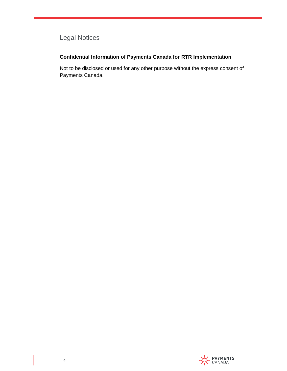# <span id="page-3-0"></span>Legal Notices

#### **Confidential Information of Payments Canada for RTR Implementation**

Not to be disclosed or used for any other purpose without the express consent of Payments Canada.

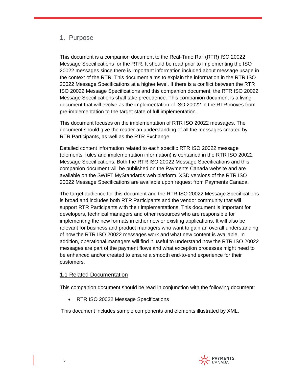# <span id="page-4-0"></span>1. Purpose

This document is a companion document to the Real-Time Rail (RTR) ISO 20022 Message Specifications for the RTR. It should be read prior to implementing the ISO 20022 messages since there is important information included about message usage in the context of the RTR. This document aims to explain the information in the RTR ISO 20022 Message Specifications at a higher level. If there is a conflict between the RTR ISO 20022 Message Specifications and this companion document, the RTR ISO 20022 Message Specifications shall take precedence. This companion document is a living document that will evolve as the implementation of ISO 20022 in the RTR moves from pre-implementation to the target state of full implementation.

This document focuses on the implementation of RTR ISO 20022 messages. The document should give the reader an understanding of all the messages created by RTR Participants, as well as the RTR Exchange.

Detailed content information related to each specific RTR ISO 20022 message (elements, rules and implementation information) is contained in the RTR ISO 20022 Message Specifications. Both the RTR ISO 20022 Message Specifications and this companion document will be published on the Payments Canada website and are available on the SWIFT MyStandards web platform. XSD versions of the RTR ISO 20022 Message Specifications are available upon request from Payments Canada.

The target audience for this document and the RTR ISO 20022 Message Specifications is broad and includes both RTR Participants and the vendor community that will support RTR Participants with their implementations. This document is important for developers, technical managers and other resources who are responsible for implementing the new formats in either new or existing applications. It will also be relevant for business and product managers who want to gain an overall understanding of how the RTR ISO 20022 messages work and what new content is available. In addition, operational managers will find it useful to understand how the RTR ISO 20022 messages are part of the payment flows and what exception processes might need to be enhanced and/or created to ensure a smooth end-to-end experience for their customers.

#### <span id="page-4-1"></span>1.1 Related Documentation

This companion document should be read in conjunction with the following document:

• RTR ISO 20022 Message Specifications

This document includes sample components and elements illustrated by XML.

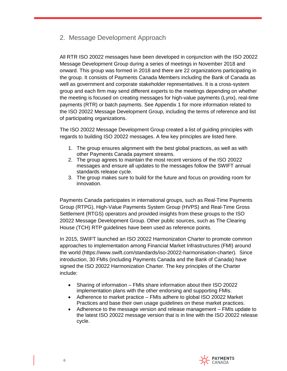# <span id="page-5-0"></span>2. Message Development Approach

All RTR ISO 20022 messages have been developed in conjunction with the ISO 20022 Message Development Group during a series of meetings in November 2018 and onward. This group was formed in 2018 and there are 22 organizations participating in the group. It consists of Payments Canada Members including the Bank of Canada as well as government and corporate stakeholder representatives. It is a cross-system group and each firm may send different experts to the meetings depending on whether the meeting is focused on creating messages for high-value payments (Lynx), real-time payments (RTR) or batch payments. See Appendix 1 for more information related to the ISO 20022 Message Development Group, including the terms of reference and list of participating organizations.

The ISO 20022 Message Development Group created a list of guiding principles with regards to building ISO 20022 messages. A few key principles are listed here.

- 1. The group ensures alignment with the best global practices, as well as with other Payments Canada payment streams.
- 2. The group agrees to maintain the most recent versions of the ISO 20022 messages and ensure all updates to the messages follow the SWIFT annual standards release cycle.
- 3. The group makes sure to build for the future and focus on providing room for innovation.

Payments Canada participates in international groups, such as Real-Time Payments Group (RTPG), High-Value Payments System Group (HVPS) and Real-Time Gross Settlement (RTGS) operators and provided insights from these groups to the ISO 20022 Message Development Group. Other public sources, such as The Clearing House (TCH) RTP guidelines have been used as reference points.

In 2015, SWIFT launched an ISO 20022 Harmonization Charter to promote common approaches to implementation among Financial Market Infrastructures (FMI) around the world [\(https://www.swift.com/standards/iso-20022-harmonisation-charter\)](https://www.swift.com/standards/iso-20022-harmonisation-charter). Since introduction, 30 FMIs (including Payments Canada and the Bank of Canada) have signed the ISO 20022 Harmonization Charter. The key principles of the Charter include:

- Sharing of information FMIs share information about their ISO 20022 implementation plans with the other endorsing and supporting FMIs.
- Adherence to market practice FMIs adhere to global ISO 20022 Market Practices and base their own usage guidelines on these market practices.
- Adherence to the message version and release management FMIs update to the latest ISO 20022 message version that is in line with the ISO 20022 release cycle.

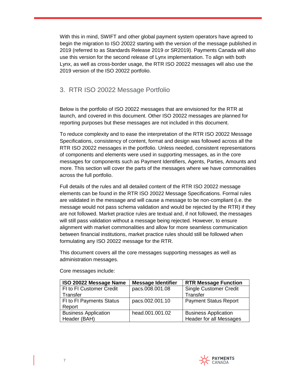With this in mind, SWIFT and other global payment system operators have agreed to begin the migration to ISO 20022 starting with the version of the message published in 2019 (referred to as Standards Release 2019 or SR2019). Payments Canada will also use this version for the second release of Lynx implementation. To align with both Lynx, as well as cross-border usage, the RTR ISO 20022 messages will also use the 2019 version of the ISO 20022 portfolio.

# <span id="page-6-0"></span>3. RTR ISO 20022 Message Portfolio

Below is the portfolio of ISO 20022 messages that are envisioned for the RTR at launch, and covered in this document. Other ISO 20022 messages are planned for reporting purposes but these messages are not included in this document.

To reduce complexity and to ease the interpretation of the RTR ISO 20022 Message Specifications, consistency of content, format and design was followed across all the RTR ISO 20022 messages in the portfolio. Unless needed, consistent representations of components and elements were used in supporting messages, as in the core messages for components such as Payment Identifiers, Agents, Parties, Amounts and more. This section will cover the parts of the messages where we have commonalities across the full portfolio.

Full details of the rules and all detailed content of the RTR ISO 20022 message elements can be found in the RTR ISO 20022 Message Specifications. Formal rules are validated in the message and will cause a message to be non-compliant (i.e. the message would not pass schema validation and would be rejected by the RTR) if they are not followed. Market practice rules are textual and, if not followed, the messages will still pass validation without a message being rejected. However, to ensure alignment with market commonalities and allow for more seamless communication between financial institutions, market practice rules should still be followed when formulating any ISO 20022 message for the RTR.

This document covers all the core messages supporting messages as well as administration messages.

| ISO 20022 Message Name      | <b>Message Identifier</b> | <b>RTR Message Function</b>   |
|-----------------------------|---------------------------|-------------------------------|
| FI to FI Customer Credit    | pacs.008.001.08           | <b>Single Customer Credit</b> |
| Transfer                    |                           | Transfer                      |
| FI to FI Payments Status    | pacs.002.001.10           | <b>Payment Status Report</b>  |
| Report                      |                           |                               |
| <b>Business Application</b> | head.001.001.02           | <b>Business Application</b>   |
| Header (BAH)                |                           | Header for all Messages       |

Core messages include:

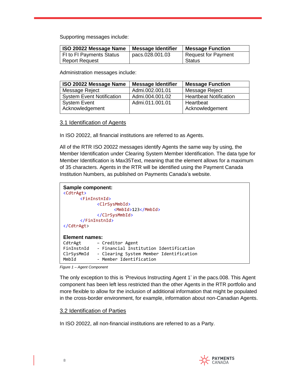Supporting messages include:

| ISO 20022 Message Name   | <b>Message Identifier</b> | <b>Message Function</b> |
|--------------------------|---------------------------|-------------------------|
| FI to FI Payments Status | pacs.028.001.03           | Request for Payment     |
| <b>Report Request</b>    |                           | Status                  |

Administration messages include:

| ISO 20022 Message Name           | <b>Message Identifier</b> | <b>Message Function</b>       |
|----------------------------------|---------------------------|-------------------------------|
| Message Reject                   | Admi.002.001.01           | Message Reject                |
| <b>System Event Notification</b> | Admi.004.001.02           | <b>Heartbeat Notification</b> |
| <b>System Event</b>              | Admi.011.001.01           | Heartbeat                     |
| Acknowledgement                  |                           | Acknowledgement               |

#### <span id="page-7-0"></span>3.1 Identification of Agents

In ISO 20022, all financial institutions are referred to as Agents.

All of the RTR ISO 20022 messages identify Agents the same way by using, the Member Identification under Clearing System Member Identification. The data type for Member Identification is Max35Text, meaning that the element allows for a maximum of 35 characters. Agents in the RTR will be identified using the Payment Canada Institution Numbers, as published on Payments Canada's website.

```
Sample component:
<CdtrAgt>
      <FinInstnId>
            <ClrSysMmbId>
                  <MmbId>123</MmbId>
            </ClrSysMmbId>
      </FinInstnId>
</CdtrAgt>
Element names:
CdtrAgt – Creditor Agent
FinInstnId - Financial Institution Identification
ClrSysMmId - Clearing System Member Identification
MmbId - Member Identification
```
*Figure 1 – Agent Component*

The only exception to this is 'Previous Instructing Agent 1' in the pacs.008. This Agent component has been left less restricted than the other Agents in the RTR portfolio and more flexible to allow for the inclusion of additional information that might be populated in the cross-border environment, for example, information about non-Canadian Agents.

#### <span id="page-7-1"></span>3.2 Identification of Parties

In ISO 20022, all non-financial institutions are referred to as a Party.

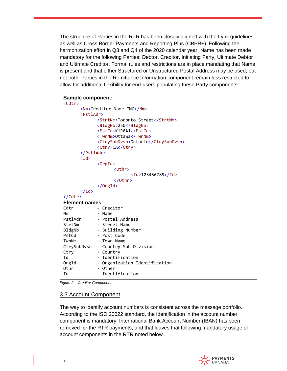The structure of Parties in the RTR has been closely aligned with the Lynx guidelines as well as Cross Border Payments and Reporting Plus (CBPR+). Following the harmonization effort in Q3 and Q4 of the 2020 calendar year, Name has been made mandatory for the following Parties: Debtor, Creditor, Initiating Party, Ultimate Debtor and Ultimate Creditor. Formal rules and restrictions are in place mandating that Name is present and that either Structured or Unstructured Postal Address may be used, but not both. Parties in the Remittance Information component remain less restricted to allow for additional flexibility for end-users populating these Party components.

```
Sample component:
<Cdtr>
      <Nm>Creditor Name INC</Nm>
      <PstlAdr>
            <StrtNm>Toronto Street</StrtNm>
            <BldgNb>250</BldgNb>
            <PstCd>K1R0A1</PstCd>
            <TwnNm>Ottawa</TwnNm>
            <CtrySubDvsn>Ontario</CtrySubDvsn>
            <Ctry>CA</Ctry>
      </PstlAdr>
      \langleId\rangle<OrgId>
                  <Othr>
                        <Id>123456789</Id>
                  </Othr>
            </OrgId>
      \langleId>
</Cdtr>
Element names:
Cdtr – Creditor 
Nm - Name
PstlAdr - Postal Address
StrtNm - Street Name
BldgNb - Building Number<br>PstCd - Post Code
           - Post Code
TwnNm - Town Name
CtrySubDvsn - Country Sub Division
Ctry - Country
Id - Identification
OrgId - Organization Identification
Othr - Other
Id - Identification
```
*Figure 2 – Creditor Component* 

#### <span id="page-8-0"></span>3.3 Account Component

The way to identify account numbers is consistent across the message portfolio. According to the ISO 20022 standard, the Identification in the account number component is mandatory. International Bank Account Number (IBAN) has been removed for the RTR payments, and that leaves that following mandatory usage of account components in the RTR noted below.

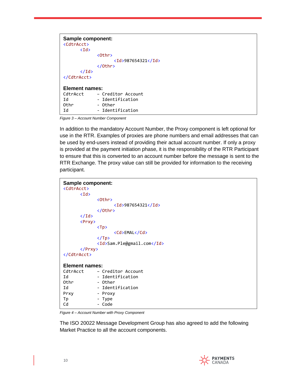| <b>Sample component:</b><br><cdtracct><br/><math>\langle</math>Id&gt;</cdtracct> |                        |
|----------------------------------------------------------------------------------|------------------------|
|                                                                                  | &Othr                  |
|                                                                                  | $\langle$ Id>987654321 |
|                                                                                  | $\langle$ /0thr>       |
| $\langle$ /Id>                                                                   |                        |
|                                                                                  |                        |
| <b>Element names:</b>                                                            |                        |
| CdtrAcct                                                                         | - Creditor Account     |
| Ιd                                                                               | - Identification       |
| Othr                                                                             | - Other                |
| Ιd                                                                               | - Identification       |

*Figure 3 – Account Number Component*

In addition to the mandatory Account Number, the Proxy component is left optional for use in the RTR. Examples of proxies are phone numbers and email addresses that can be used by end-users instead of providing their actual account number. If only a proxy is provided at the payment initiation phase, it is the responsibility of the RTR Participant to ensure that this is converted to an account number before the message is sent to the RTR Exchange. The proxy value can still be provided for information to the receiving participant.

| Sample component:<br><cdtracct></cdtracct> |                                                    |
|--------------------------------------------|----------------------------------------------------|
| $\langle$ Id>                              |                                                    |
|                                            | <0thr>                                             |
|                                            | $\langle Id \rangle 987654321 \langle /Id \rangle$ |
|                                            |                                                    |
| $\langle$ /Id>                             |                                                    |
| <prxy></prxy>                              |                                                    |
|                                            | $\langle \texttt{Tp} \rangle$                      |
|                                            | <cd>EMAL</cd>                                      |
|                                            | $\langle$ /Tp>                                     |
|                                            | <id>Sam.Ple@gmail.com</id>                         |
|                                            |                                                    |
|                                            |                                                    |
|                                            |                                                    |
| <b>Element names:</b>                      |                                                    |
| CdtrAcct                                   | - Creditor Account                                 |
| Ιd                                         | - Identification                                   |
| Othr                                       | - Other                                            |
|                                            |                                                    |
| Id                                         | - Identification                                   |
| Prxy                                       | - Proxy                                            |
| Tp                                         | - Type                                             |
| Cd                                         | - Code                                             |

*Figure 4 – Account Number with Proxy Component*

The ISO 20022 Message Development Group has also agreed to add the following Market Practice to all the account components.

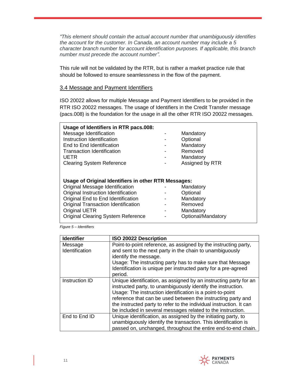*"This element should contain the actual account number that unambiguously identifies the account for the customer. In Canada, an account number may include a 5 character branch number for account identification purposes. If applicable, this branch number must precede the account number".*

This rule will not be validated by the RTR, but is rather a market practice rule that should be followed to ensure seamlessness in the flow of the payment.

#### <span id="page-10-0"></span>3.4 Message and Payment Identifiers

ISO 20022 allows for multiple Message and Payment Identifiers to be provided in the RTR ISO 20022 messages. The usage of Identifiers in the Credit Transfer message (pacs.008) is the foundation for the usage in all the other RTR ISO 20022 messages.

| Usage of Identifiers in RTR pacs.008:<br>Message Identification<br>Instruction Identification<br>End to End Identification<br><b>Transaction Identification</b><br><b>UETR</b><br><b>Clearing System Reference</b> | Mandatory<br>Optional<br>Mandatory<br>Removed<br>Mandatory<br>Assigned by RTR |
|--------------------------------------------------------------------------------------------------------------------------------------------------------------------------------------------------------------------|-------------------------------------------------------------------------------|
| Usage of Original Identifiers in other RTR Messages:                                                                                                                                                               |                                                                               |
| Original Message Identification                                                                                                                                                                                    | Mandatory                                                                     |
| Original Instruction Identification                                                                                                                                                                                | Optional                                                                      |
| Original End to End Identification                                                                                                                                                                                 | Mandatory                                                                     |
| <b>Original Transaction Identification</b>                                                                                                                                                                         | Removed                                                                       |
| <b>Original UETR</b>                                                                                                                                                                                               | Mandatory                                                                     |
| <b>Original Clearing System Reference</b>                                                                                                                                                                          | Optional/Mandatory                                                            |

*Figure 5 – Identifiers* 

| <b>Identifier</b> | ISO 20022 Description                                                                                                              |
|-------------------|------------------------------------------------------------------------------------------------------------------------------------|
| Message           | Point-to-point reference, as assigned by the instructing party,                                                                    |
| Identification    | and sent to the next party in the chain to unambiguously<br>identify the message.                                                  |
|                   | Usage: The instructing party has to make sure that Message                                                                         |
|                   | Identification is unique per instructed party for a pre-agreed<br>period.                                                          |
| Instruction ID    | Unique identification, as assigned by an instructing party for an<br>instructed party, to unambiguously identify the instruction.  |
|                   | Usage: The instruction identification is a point-to-point                                                                          |
|                   | reference that can be used between the instructing party and                                                                       |
|                   | the instructed party to refer to the individual instruction. It can<br>be included in several messages related to the instruction. |
| End to End ID     | Unique identification, as assigned by the initiating party, to<br>unambiguously identify the transaction. This identification is   |
|                   | passed on, unchanged, throughout the entire end-to-end chain.                                                                      |

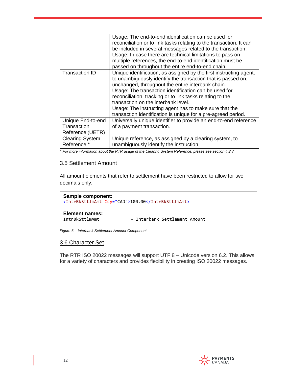|                                                      | Usage: The end-to-end identification can be used for<br>reconciliation or to link tasks relating to the transaction. It can<br>be included in several messages related to the transaction.<br>Usage: In case there are technical limitations to pass on<br>multiple references, the end-to-end identification must be<br>passed on throughout the entire end-to-end chain.                                                                                                      |
|------------------------------------------------------|---------------------------------------------------------------------------------------------------------------------------------------------------------------------------------------------------------------------------------------------------------------------------------------------------------------------------------------------------------------------------------------------------------------------------------------------------------------------------------|
| <b>Transaction ID</b>                                | Unique identification, as assigned by the first instructing agent,<br>to unambiguously identify the transaction that is passed on,<br>unchanged, throughout the entire interbank chain.<br>Usage: The transaction identification can be used for<br>reconciliation, tracking or to link tasks relating to the<br>transaction on the interbank level.<br>Usage: The instructing agent has to make sure that the<br>transaction identification is unique for a pre-agreed period. |
| Unique End-to-end<br>Transaction<br>Reference (UETR) | Universally unique identifier to provide an end-to-end reference<br>of a payment transaction.                                                                                                                                                                                                                                                                                                                                                                                   |
| <b>Clearing System</b><br>Reference *                | Unique reference, as assigned by a clearing system, to<br>unambiguously identify the instruction.                                                                                                                                                                                                                                                                                                                                                                               |

*\* For more information about the RTR usage of the Clearing System Reference, please see section 4.2.7*

#### <span id="page-11-0"></span>3.5 Settlement Amount

All amount elements that refer to settlement have been restricted to allow for two decimals only.

```
Sample component:
<IntrBkSttlmAmt Ccy="CAD">100.00</IntrBkSttlmAmt>
Element names:
IntrBkSttlmAmt – Interbank Settlement Amount
```
*Figure 6 – Interbank Settlement Amount Component*

#### <span id="page-11-1"></span>3.6 Character Set

The RTR ISO 20022 messages will support UTF 8 – Unicode version 6.2. This allows for a variety of characters and provides flexibility in creating ISO 20022 messages.

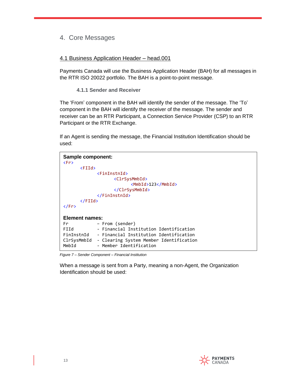## <span id="page-12-0"></span>4. Core Messages

#### <span id="page-12-1"></span>4.1 Business Application Header – head.001

<span id="page-12-2"></span>Payments Canada will use the Business Application Header (BAH) for all messages in the RTR ISO 20022 portfolio. The BAH is a point-to-point message.

**4.1.1 Sender and Receiver**

The 'From' component in the BAH will identify the sender of the message. The 'To' component in the BAH will identify the receiver of the message. The sender and receiver can be an RTR Participant, a Connection Service Provider (CSP) to an RTR Participant or the RTR Exchange.

If an Agent is sending the message, the Financial Institution Identification should be used:

```
Sample component:
<Fr>
      <FIId>
            <FinInstnId>
                  <ClrSysMmbId>
                        <MmbId>123</MmbId>
                  </ClrSysMmbId>
            </FinInstnId>
      </FIId>
\langleFr>
Element names:
Fr – From (sender)
FIId - Financial Institution Identification
FinInstnId - Financial Institution Identification
ClrSysMmbId - Clearing System Member Identification
MmbId - Member Identification
```
*Figure 7 – Sender Component – Financial Institution*

When a message is sent from a Party, meaning a non-Agent, the Organization Identification should be used:

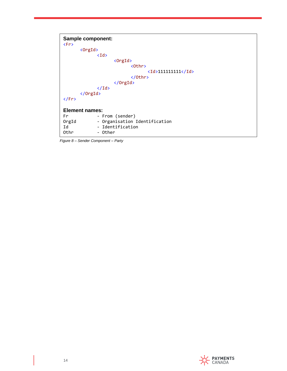| <b>Sample component:</b><br>Fr         |
|----------------------------------------|
| <orgid></orgid>                        |
| $\langle$ Id>                          |
| <orgid></orgid>                        |
| $other$                                |
| $\langle$ Id>1111111111                |
|                                        |
| $\langle$ /OrgId>                      |
| $\langle$ /Id>                         |
|                                        |
| $\langle$ /OrgId>                      |
| $\langle$ /Fr>                         |
|                                        |
| <b>Element names:</b>                  |
| - From (sender)<br>Fr                  |
| - Organisation Identification<br>OrgId |
| - Identification<br>Id                 |
|                                        |
| - Other<br>Othr                        |

*Figure 8 – Sender Component – Party*

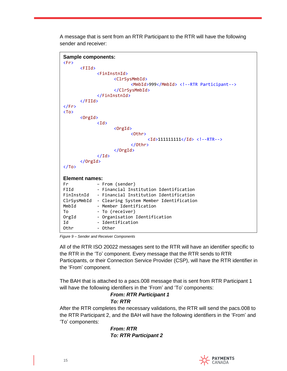A message that is sent from an RTR Participant to the RTR will have the following sender and receiver:

|                             | <b>Sample components:</b>                              |  |
|-----------------------------|--------------------------------------------------------|--|
| F <sub>P</sub>              |                                                        |  |
|                             | FIII                                                   |  |
|                             | $\langle$ FinInstnId>                                  |  |
|                             | <clrsysmmbid></clrsysmmbid>                            |  |
|                             | <mmbid>999</mmbid> RTR Participant                     |  |
|                             |                                                        |  |
|                             |                                                        |  |
|                             | $\langle$ /FIId>                                       |  |
| $\langle$ /Fr>              |                                                        |  |
| $\langle \text{To} \rangle$ |                                                        |  |
|                             | <orgid></orgid>                                        |  |
|                             | $\langle$ Id>                                          |  |
|                             |                                                        |  |
|                             | <orgid></orgid>                                        |  |
|                             | $&$ Othr>                                              |  |
|                             | $\langle$ Id>1111111111 RTR                            |  |
|                             |                                                        |  |
|                             |                                                        |  |
|                             | $\langle$ /Id>                                         |  |
|                             | $\langle$ /OrgId>                                      |  |
| $\langle$ /To>              |                                                        |  |
|                             |                                                        |  |
|                             | <b>Element names:</b>                                  |  |
| Fr                          | - From (sender)                                        |  |
| FIId                        | - Financial Institution Identification                 |  |
|                             | - Financial Institution Identification<br>FinInstnId   |  |
|                             | ClrSysMmbId<br>- Clearing System Member Identification |  |
| MmbId                       | - Member Identification                                |  |
| To                          | - To (receiver)                                        |  |
| OrgId                       | - Organisation Identification                          |  |
| Ιd                          | - Identification                                       |  |
| Othr                        | - Other                                                |  |
|                             |                                                        |  |

*Figure 9 – Sender and Receiver Components* 

All of the RTR ISO 20022 messages sent to the RTR will have an identifier specific to the RTR in the 'To' component. Every message that the RTR sends to RTR Participants, or their Connection Service Provider (CSP), will have the RTR identifier in the 'From' component.

The BAH that is attached to a pacs.008 message that is sent from RTR Participant 1 will have the following identifiers in the 'From' and 'To' components:

# *From: RTR Participant 1 To: RTR*

After the RTR completes the necessary validations, the RTR will send the pacs.008 to the RTR Participant 2, and the BAH will have the following identifiers in the 'From' and 'To' components:

> *From: RTR To: RTR Participant 2*

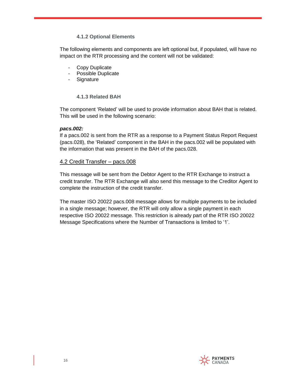#### **4.1.2 Optional Elements**

<span id="page-15-0"></span>The following elements and components are left optional but, if populated, will have no impact on the RTR processing and the content will not be validated:

- Copy Duplicate
- Possible Duplicate
- **Signature**

#### **4.1.3 Related BAH**

<span id="page-15-1"></span>The component 'Related' will be used to provide information about BAH that is related. This will be used in the following scenario:

#### *pacs.002:*

If a pacs.002 is sent from the RTR as a response to a Payment Status Report Request (pacs.028), the 'Related' component in the BAH in the pacs.002 will be populated with the information that was present in the BAH of the pacs.028.

#### <span id="page-15-2"></span>4.2 Credit Transfer – pacs.008

This message will be sent from the Debtor Agent to the RTR Exchange to instruct a credit transfer. The RTR Exchange will also send this message to the Creditor Agent to complete the instruction of the credit transfer.

The master ISO 20022 pacs.008 message allows for multiple payments to be included in a single message; however, the RTR will only allow a single payment in each respective ISO 20022 message. This restriction is already part of the RTR ISO 20022 Message Specifications where the Number of Transactions is limited to '1'.

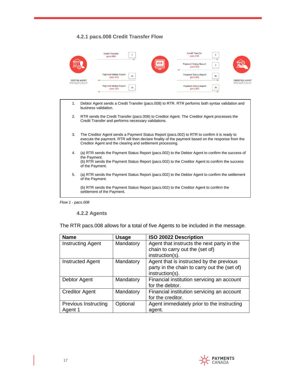#### **4.2.1 pacs.008 Credit Transfer Flow**

<span id="page-16-0"></span>

- 1. Debtor Agent sends a Credit Transfer (pacs.008) to RTR. RTR performs both syntax validation and business validation.
- 2. RTR sends the Credit Transfer (pacs.008) to Creditor Agent. The Creditor Agent processes the Credit Transfer and performs necessary validations.
- 3. The Creditor Agent sends a Payment Status Report (pacs.002) to RTR to confirm it is ready to execute the payment. RTR will then declare finality of the payment based on the response from the Creditor Agent and the clearing and settlement processing.
- 4. (a) RTR sends the Payment Status Report (pacs.002) to the Debtor Agent to confirm the success of the Payment. (b) RTR sends the Payment Status Report (pacs.002) to the Creditor Agent to confirm the success of the Payment.
- 5. (a) RTR sends the Payment Status Report (pacs.002) to the Debtor Agent to confirm the settlement of the Payment.

(b) RTR sends the Payment Status Report (pacs.002) to the Creditor Agent to confirm the settlement of the Payment.

<span id="page-16-1"></span>*Flow 1 - pacs.008*

#### **4.2.2 Agents**

The RTR pacs.008 allows for a total of five Agents to be included in the message.

| <b>Name</b>                            | <b>Usage</b> | <b>ISO 20022 Description</b>                                                                                |
|----------------------------------------|--------------|-------------------------------------------------------------------------------------------------------------|
| <b>Instructing Agent</b>               | Mandatory    | Agent that instructs the next party in the<br>chain to carry out the (set of)                               |
|                                        |              | instruction(s).                                                                                             |
| <b>Instructed Agent</b>                | Mandatory    | Agent that is instructed by the previous<br>party in the chain to carry out the (set of)<br>instruction(s). |
| Debtor Agent                           | Mandatory    | Financial institution servicing an account<br>for the debtor.                                               |
| <b>Creditor Agent</b>                  | Mandatory    | Financial institution servicing an account<br>for the creditor.                                             |
| <b>Previous Instructing</b><br>Agent 1 | Optional     | Agent immediately prior to the instructing<br>agent.                                                        |

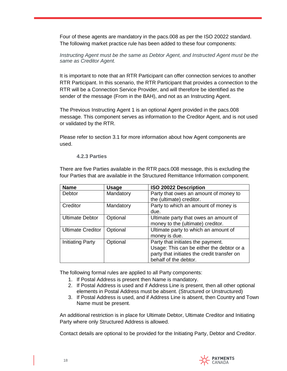Four of these agents are mandatory in the pacs.008 as per the ISO 20022 standard. The following market practice rule has been added to these four components:

*Instructing Agent must be the same as Debtor Agent, and Instructed Agent must be the same as Creditor Agent.* 

It is important to note that an RTR Participant can offer connection services to another RTR Participant. In this scenario, the RTR Participant that provides a connection to the RTR will be a Connection Service Provider, and will therefore be identified as the sender of the message (From in the BAH), and not as an Instructing Agent.

The Previous Instructing Agent 1 is an optional Agent provided in the pacs.008 message. This component serves as information to the Creditor Agent, and is not used or validated by the RTR.

<span id="page-17-0"></span>Please refer to section 3.1 for more information about how Agent components are used.

#### **4.2.3 Parties**

There are five Parties available in the RTR pacs.008 message, this is excluding the four Parties that are available in the Structured Remittance Information component.

| <b>Name</b>              | <b>Usage</b> | <b>ISO 20022 Description</b>                |
|--------------------------|--------------|---------------------------------------------|
| Debtor                   | Mandatory    | Party that owes an amount of money to       |
|                          |              | the (ultimate) creditor.                    |
| Creditor                 | Mandatory    | Party to which an amount of money is        |
|                          |              | due.                                        |
| <b>Ultimate Debtor</b>   | Optional     | Ultimate party that owes an amount of       |
|                          |              | money to the (ultimate) creditor.           |
| <b>Ultimate Creditor</b> | Optional     | Ultimate party to which an amount of        |
|                          |              | money is due.                               |
| Initiating Party         | Optional     | Party that initiates the payment.           |
|                          |              | Usage: This can be either the debtor or a   |
|                          |              | party that initiates the credit transfer on |
|                          |              | behalf of the debtor.                       |

The following formal rules are applied to all Party components:

- 1. If Postal Address is present then Name is mandatory.
- 2. If Postal Address is used and if Address Line is present, then all other optional elements in Postal Address must be absent. (Structured or Unstructured)
- 3. If Postal Address is used, and if Address Line is absent, then Country and Town Name must be present.

An additional restriction is in place for Ultimate Debtor, Ultimate Creditor and Initiating Party where only Structured Address is allowed.

Contact details are optional to be provided for the Initiating Party, Debtor and Creditor.

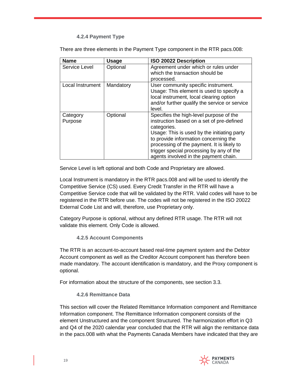#### **4.2.4 Payment Type**

<span id="page-18-0"></span>There are three elements in the Payment Type component in the RTR pacs.008:

| <b>Name</b>         | <b>Usage</b> | <b>ISO 20022 Description</b>                                                                                                                                                                                                                                                                                                   |
|---------------------|--------------|--------------------------------------------------------------------------------------------------------------------------------------------------------------------------------------------------------------------------------------------------------------------------------------------------------------------------------|
| Service Level       | Optional     | Agreement under which or rules under<br>which the transaction should be                                                                                                                                                                                                                                                        |
|                     |              | processed.                                                                                                                                                                                                                                                                                                                     |
| Local Instrument    | Mandatory    | User community specific instrument.<br>Usage: This element is used to specify a<br>local instrument, local clearing option<br>and/or further qualify the service or service<br>level.                                                                                                                                          |
| Category<br>Purpose | Optional     | Specifies the high-level purpose of the<br>instruction based on a set of pre-defined<br>categories.<br>Usage: This is used by the initiating party<br>to provide information concerning the<br>processing of the payment. It is likely to<br>trigger special processing by any of the<br>agents involved in the payment chain. |

Service Level is left optional and both Code and Proprietary are allowed.

Local Instrument is mandatory in the RTR pacs.008 and will be used to identify the Competitive Service (CS) used. Every Credit Transfer in the RTR will have a Competitive Service code that will be validated by the RTR. Valid codes will have to be registered in the RTR before use. The codes will not be registered in the ISO 20022 External Code List and will, therefore, use Proprietary only.

Category Purpose is optional, without any defined RTR usage. The RTR will not validate this element. Only Code is allowed.

#### **4.2.5 Account Components**

<span id="page-18-1"></span>The RTR is an account-to-account based real-time payment system and the Debtor Account component as well as the Creditor Account component has therefore been made mandatory. The account identification is mandatory, and the Proxy component is optional.

<span id="page-18-2"></span>For information about the structure of the components, see section 3.3.

#### **4.2.6 Remittance Data**

This section will cover the Related Remittance Information component and Remittance Information component. The Remittance Information component consists of the element Unstructured and the component Structured. The harmonization effort in Q3 and Q4 of the 2020 calendar year concluded that the RTR will align the remittance data in the pacs.008 with what the Payments Canada Members have indicated that they are

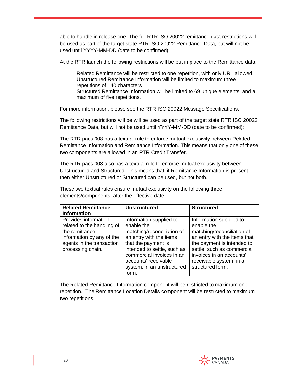able to handle in release one. The full RTR ISO 20022 remittance data restrictions will be used as part of the target state RTR ISO 20022 Remittance Data, but will not be used until YYYY-MM-DD (date to be confirmed).

At the RTR launch the following restrictions will be put in place to the Remittance data:

- Related Remittance will be restricted to one repetition, with only URL allowed.
- Unstructured Remittance Information will be limited to maximum three repetitions of 140 characters
- Structured Remittance Information will be limited to 69 unique elements, and a maximum of five repetitions.

For more information, please see the RTR ISO 20022 Message Specifications.

The following restrictions will be will be used as part of the target state RTR ISO 20022 Remittance Data, but will not be used until YYYY-MM-DD (date to be confirmed):

The RTR pacs.008 has a textual rule to enforce mutual exclusivity between Related Remittance Information and Remittance Information. This means that only one of these two components are allowed in an RTR Credit Transfer.

The RTR pacs.008 also has a textual rule to enforce mutual exclusivity between Unstructured and Structured. This means that, if Remittance Information is present, then either Unstructured or Structured can be used, but not both.

These two textual rules ensure mutual exclusivity on the following three elements/components, after the effective date:

| <b>Related Remittance</b><br><b>Information</b>                                                                                                     | <b>Unstructured</b>                                                                                                                                                                                                                              | <b>Structured</b>                                                                                                                                                                                                                          |
|-----------------------------------------------------------------------------------------------------------------------------------------------------|--------------------------------------------------------------------------------------------------------------------------------------------------------------------------------------------------------------------------------------------------|--------------------------------------------------------------------------------------------------------------------------------------------------------------------------------------------------------------------------------------------|
| Provides information<br>related to the handling of<br>the remittance<br>information by any of the<br>agents in the transaction<br>processing chain. | Information supplied to<br>enable the<br>matching/reconciliation of<br>an entry with the items<br>that the payment is<br>intended to settle, such as<br>commercial invoices in an<br>accounts' receivable<br>system, in an unstructured<br>form. | Information supplied to<br>enable the<br>matching/reconciliation of<br>an entry with the items that<br>the payment is intended to<br>settle, such as commercial<br>invoices in an accounts'<br>receivable system, in a<br>structured form. |

The Related Remittance Information component will be restricted to maximum one repetition. The Remittance Location Details component will be restricted to maximum two repetitions.

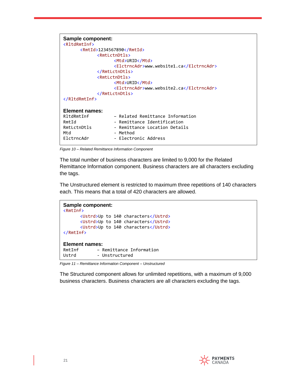| Sample component:<br>$\langle$ R]tdRmtTnf>     |  |
|------------------------------------------------|--|
| <rmtid>1234567890</rmtid>                      |  |
| $\epsilon$ Rmtl $\epsilon$ tnDtls $\epsilon$   |  |
| <mtd>URID</mtd>                                |  |
| <elctrncadr>www.website1.ca</elctrncadr>       |  |
|                                                |  |
| $<$ RmtLctnDtls $>$                            |  |
| <mtd>URID</mtd>                                |  |
| <elctrncadr>www.website2.ca</elctrncadr>       |  |
|                                                |  |
|                                                |  |
|                                                |  |
| Element names:                                 |  |
| - Related Remittance Information<br>RltdRmtInf |  |
| - Remittance Identification<br>RmtTd           |  |
| - Remittance Location Details<br>RmtLctnDtls   |  |
| Mtd<br>- Method                                |  |
| ElctrncAdr<br>- Electronic Address             |  |

*Figure 10 – Related Remittance Information Component*

The total number of business characters are limited to 9,000 for the Related Remittance Information component. Business characters are all characters excluding the tags.

The Unstructured element is restricted to maximum three repetitions of 140 characters each. This means that a total of 420 characters are allowed.

```
Sample component:
<RmtInf>
       <Ustrd>Up to 140 characters</Ustrd>
       <Ustrd>Up to 140 characters</Ustrd>
       <Ustrd>Up to 140 characters</Ustrd>
</RmtInf>
Element names:
RmtInf - Remittance Information<br>Ustrd - Unstructured
             - Unstructured
```
*Figure 11 – Remittance Information Component – Unstructured* 

The Structured component allows for unlimited repetitions, with a maximum of 9,000 business characters. Business characters are all characters excluding the tags.

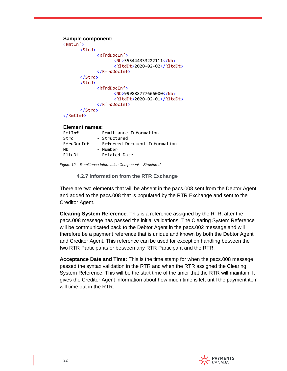| Sample component:<br>$Rm+Inf>$ |                                                           |
|--------------------------------|-----------------------------------------------------------|
| <strd></strd>                  |                                                           |
|                                | $\langle$ RfrdDocInf>                                     |
|                                | $\langle Nb \rangle$ 555444333222111 $\langle Nb \rangle$ |
|                                | <rltddt>2020-02-02</rltddt>                               |
|                                |                                                           |
|                                |                                                           |
| <strd></strd>                  |                                                           |
|                                |                                                           |
|                                | $\langle$ RfrdDocInf>                                     |
|                                | $\langle Nb \rangle$ 999888777666000 $\langle Nb \rangle$ |
|                                | <rltddt>2020-02-01</rltddt>                               |
|                                |                                                           |
|                                |                                                           |
| $\langle$ /RmtInf>             |                                                           |
|                                |                                                           |
| <b>Element names:</b>          |                                                           |
| RmtInf                         | - Remittance Information                                  |
| Strd                           | - Structured                                              |
|                                | RfrdDocInf - Referred Document Information                |
| Nb                             | - Number                                                  |
| RltdDt                         | - Related Date                                            |
|                                |                                                           |

<span id="page-21-0"></span>*Figure 12 – Remittance Information Component – Structured* 

#### **4.2.7 Information from the RTR Exchange**

There are two elements that will be absent in the pacs.008 sent from the Debtor Agent and added to the pacs.008 that is populated by the RTR Exchange and sent to the Creditor Agent.

**Clearing System Reference**: This is a reference assigned by the RTR, after the pacs.008 message has passed the initial validations. The Clearing System Reference will be communicated back to the Debtor Agent in the pacs.002 message and will therefore be a payment reference that is unique and known by both the Debtor Agent and Creditor Agent. This reference can be used for exception handling between the two RTR Participants or between any RTR Participant and the RTR.

**Acceptance Date and Time:** This is the time stamp for when the pacs.008 message passed the syntax validation in the RTR and when the RTR assigned the Clearing System Reference. This will be the start time of the timer that the RTR will maintain. It gives the Creditor Agent information about how much time is left until the payment item will time out in the RTR.

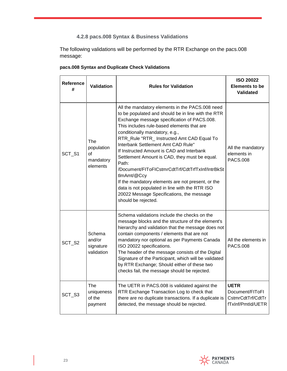## **4.2.8 pacs.008 Syntax & Business Validations**

<span id="page-22-0"></span>The following validations will be performed by the RTR Exchange on the pacs.008 message:

| Reference<br># | Validation                                       | <b>Rules for Validation</b>                                                                                                                                                                                                                                                                                                                                                                                                                                                                                                                                                                                                                                                   | <b>ISO 20022</b><br><b>Elements to be</b><br><b>Validated</b>            |
|----------------|--------------------------------------------------|-------------------------------------------------------------------------------------------------------------------------------------------------------------------------------------------------------------------------------------------------------------------------------------------------------------------------------------------------------------------------------------------------------------------------------------------------------------------------------------------------------------------------------------------------------------------------------------------------------------------------------------------------------------------------------|--------------------------------------------------------------------------|
| SCT_S1         | The<br>population<br>of<br>mandatory<br>elements | All the mandatory elements in the PACS.008 need<br>to be populated and should be in line with the RTR<br>Exchange message specification of PACS.008.<br>This includes rule-based elements that are<br>conditionally mandatory, e.g.,<br>RTR_Rule "RTR_ Instructed Amt CAD Equal To<br>Interbank Settlement Amt CAD Rule"<br>If Instructed Amount is CAD and Interbank<br>Settlement Amount is CAD, they must be equal.<br>Path:<br>/Document/FIToFICstmrCdtTrf/CdtTrfTxInf/IntrBkSt<br>tlmAmt/@Ccy<br>If the mandatory elements are not present, or the<br>data is not populated in line with the RTR ISO<br>20022 Message Specifications, the message<br>should be rejected. | All the mandatory<br>elements in<br><b>PACS.008</b>                      |
| SCT S2         | Schema<br>and/or<br>signature<br>validation      | Schema validations include the checks on the<br>message blocks and the structure of the element's<br>hierarchy and validation that the message does not<br>contain components / elements that are not<br>mandatory nor optional as per Payments Canada<br>ISO 20022 specifications.<br>The header of the message consists of the Digital<br>Signature of the Participant, which will be validated<br>by RTR Exchange; Should either of these two<br>checks fail, the message should be rejected.                                                                                                                                                                              | All the elements in<br><b>PACS.008</b>                                   |
| SCT_S3         | The<br>uniqueness<br>of the<br>payment           | The UETR in PACS.008 is validated against the<br>RTR Exchange Transaction Log to check that<br>there are no duplicate transactions. If a duplicate is<br>detected, the message should be rejected.                                                                                                                                                                                                                                                                                                                                                                                                                                                                            | <b>UETR</b><br>Document/FIToFI<br>CstmrCdtTrf/CdtTr<br>fTxInf/PmtId/UETR |

#### **pacs.008 Syntax and Duplicate Check Validations**

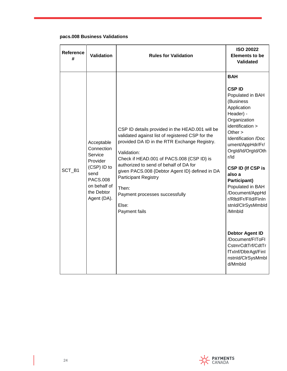#### **pacs.008 Business Validations**

| Reference<br><b>Validation</b><br>#                                                                                                              | <b>Rules for Validation</b>                                                                                                                                                                                                                                                                                                                                                                                     | <b>ISO 20022</b><br><b>Elements to be</b><br><b>Validated</b>                                                                                                                                                                                                                                                                                                                                                                                                                            |
|--------------------------------------------------------------------------------------------------------------------------------------------------|-----------------------------------------------------------------------------------------------------------------------------------------------------------------------------------------------------------------------------------------------------------------------------------------------------------------------------------------------------------------------------------------------------------------|------------------------------------------------------------------------------------------------------------------------------------------------------------------------------------------------------------------------------------------------------------------------------------------------------------------------------------------------------------------------------------------------------------------------------------------------------------------------------------------|
| Acceptable<br>Connection<br>Service<br>Provider<br>(CSP) ID to<br>SCT B1<br>send<br><b>PACS.008</b><br>on behalf of<br>the Debtor<br>Agent (DA). | CSP ID details provided in the HEAD.001 will be<br>validated against list of registered CSP for the<br>provided DA ID in the RTR Exchange Registry.<br>Validation:<br>Check if HEAD.001 of PACS.008 {CSP ID} is<br>authorized to send of behalf of DA for<br>given PACS.008 {Debtor Agent ID} defined in DA<br><b>Participant Registry</b><br>Then:<br>Payment processes successfully<br>Else:<br>Payment fails | <b>BAH</b><br><b>CSPID</b><br>Populated in BAH<br>(Business<br>Application<br>Header) -<br>Organization<br>identification ><br>Other $>$<br>Identification /Doc<br>ument/AppHdr/Fr/<br>OrgId/Id/OrgId/Oth<br>r/Id<br>CSP ID (If CSP is<br>also a<br>Participant)<br>Populated in BAH<br>/Document/AppHd<br>r/RItd/Fr/FIId/FinIn<br>stnld/ClrSysMmbld<br>/Mmbld<br><b>Debtor Agent ID</b><br>/Document/FIToFI<br>CstmrCdtTrf/CdtTr<br>fTxInf/DbtrAgt/Finl<br>nstnld/ClrSysMmbl<br>d/Mmbld |

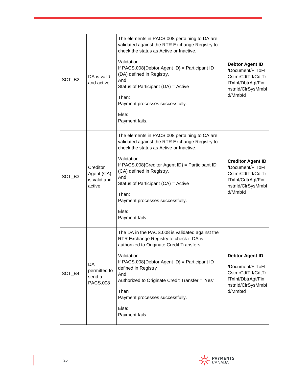| SCT B <sub>2</sub> | DA is valid<br>and active                        | The elements in PACS.008 pertaining to DA are<br>validated against the RTR Exchange Registry to<br>check the status as Active or Inactive.<br>Validation:<br>If PACS.008{Debtor Agent $ID$ } = Participant ID<br>(DA) defined in Registry,<br>And<br>Status of Participant $(DA) =$ Active<br>Then:<br>Payment processes successfully.<br>Else:<br>Payment fails.   | <b>Debtor Agent ID</b><br>/Document/FIToFI<br>CstmrCdtTrf/CdtTr<br>fTxInf/DbtrAgt/Finl<br>nstnld/ClrSysMmbl<br>d/Mmbld   |
|--------------------|--------------------------------------------------|---------------------------------------------------------------------------------------------------------------------------------------------------------------------------------------------------------------------------------------------------------------------------------------------------------------------------------------------------------------------|--------------------------------------------------------------------------------------------------------------------------|
| SCT_B3             | Creditor<br>Agent (CA)<br>is valid and<br>active | The elements in PACS.008 pertaining to CA are<br>validated against the RTR Exchange Registry to<br>check the status as Active or Inactive.<br>Validation:<br>If PACS.008{Creditor Agent $ID$ } = Participant ID<br>(CA) defined in Registry,<br>And<br>Status of Participant $(CA)$ = Active<br>Then:<br>Payment processes successfully.<br>Else:<br>Payment fails. | <b>Creditor Agent ID</b><br>/Document/FIToFI<br>CstmrCdtTrf/CdtTr<br>fTxInf/CdtrAgt/Finl<br>nstnld/ClrSysMmbl<br>d/Mmbld |
| SCT_B4             | DA<br>permitted to<br>send a<br><b>PACS.008</b>  | The DA in the PACS.008 is validated against the<br>RTR Exchange Registry to check if DA is<br>authorized to Originate Credit Transfers.<br>Validation:<br>If PACS.008{Debtor Agent $ID$ } = Participant ID<br>defined in Registry<br>And<br>Authorized to Originate Credit Transfer = 'Yes'<br>Then<br>Payment processes successfully.<br>Else:<br>Payment fails.   | <b>Debtor Agent ID</b><br>/Document/FIToFI<br>CstmrCdtTrf/CdtTr<br>fTxInf/DbtrAgt/Finl<br>nstnld/ClrSysMmbl<br>d/Mmbld   |

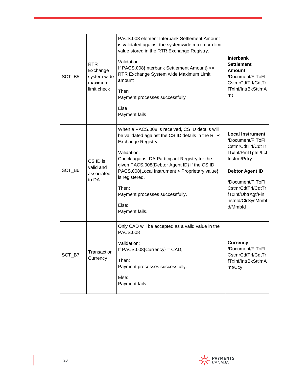| SCT_B5 | <b>RTR</b><br>Exchange<br>system wide<br>maximum<br>limit check | PACS.008 element Interbank Settlement Amount<br>is validated against the systemwide maximum limit<br>value stored in the RTR Exchange Registry.<br>Validation:<br>If PACS.008{Interbank Settlement Amount} <=<br>RTR Exchange System wide Maximum Limit<br>amount<br>Then<br>Payment processes successfully<br>Else<br>Payment fails                                                    | <b>Interbank</b><br><b>Settlement</b><br>Amount<br>/Document/FIToFI<br>CstmrCdtTrf/CdtTr<br>fTxInf/IntrBkSttImA<br>mt                                                                                                             |
|--------|-----------------------------------------------------------------|-----------------------------------------------------------------------------------------------------------------------------------------------------------------------------------------------------------------------------------------------------------------------------------------------------------------------------------------------------------------------------------------|-----------------------------------------------------------------------------------------------------------------------------------------------------------------------------------------------------------------------------------|
| SCT_B6 | CS ID is<br>valid and<br>associated<br>to DA                    | When a PACS.008 is received, CS ID details will<br>be validated against the CS ID details in the RTR<br>Exchange Registry.<br>Validation:<br>Check against DA Participant Registry for the<br>given PACS.008{Debtor Agent ID} if the CS ID,<br>PACS.008{Local Instrument > Proprietary value},<br>is registered.<br>Then:<br>Payment processes successfully.<br>Else:<br>Payment fails. | <b>Local Instrument</b><br>/Document/FIToFI<br>CstmrCdtTrf/CdtTr<br>fTxInf/PmtTpInf/Lcl<br>Instrm/Prtry<br><b>Debtor Agent ID</b><br>/Document/FIToFI<br>CstmrCdtTrf/CdtTr<br>fTxInf/DbtrAgt/Finl<br>nstnld/ClrSysMmbl<br>d/Mmbld |
| SCT_B7 | Transaction<br>Currency                                         | Only CAD will be accepted as a valid value in the<br><b>PACS.008</b><br>Validation:<br>If PACS.008{Currency} = $CAD$ ,<br>Then:<br>Payment processes successfully.<br>Else:<br>Payment fails.                                                                                                                                                                                           | <b>Currency</b><br>/Document/FIToFI<br>CstmrCdtTrf/CdtTr<br>fTxInf/IntrBkSttImA<br>mt/Ccy                                                                                                                                         |

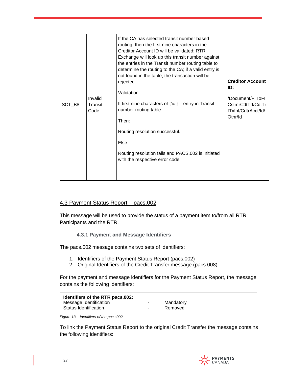| SCT_B8 | Invalid<br>Transit<br>Code | If the CA has selected transit number based<br>routing, then the first nine characters in the<br>Creditor Account ID will be validated; RTR<br>Exchange will look up this transit number against<br>the entries in the Transit number routing table to<br>determine the routing to the CA; if a valid entry is<br>not found in the table, the transaction will be<br>rejected<br>Validation:<br>If first nine characters of $\{id'\}$ = entry in Transit<br>number routing table<br>Then:<br>Routing resolution successful.<br>Else:<br>Routing resolution fails and PACS.002 is initiated<br>with the respective error code. | <b>Creditor Account</b><br>ID:<br>/Document/FIToFI<br>CstmrCdtTrf/CdtTr<br>fTxInf/CdtrAcct/Id/<br>Othr/Id |
|--------|----------------------------|-------------------------------------------------------------------------------------------------------------------------------------------------------------------------------------------------------------------------------------------------------------------------------------------------------------------------------------------------------------------------------------------------------------------------------------------------------------------------------------------------------------------------------------------------------------------------------------------------------------------------------|-----------------------------------------------------------------------------------------------------------|

#### <span id="page-26-0"></span>4.3 Payment Status Report – pacs.002

This message will be used to provide the status of a payment item to/from all RTR Participants and the RTR.

**4.3.1 Payment and Message Identifiers**

<span id="page-26-1"></span>The pacs.002 message contains two sets of identifiers:

- 1. Identifiers of the Payment Status Report (pacs.002)
- 2. Original Identifiers of the Credit Transfer message (pacs.008)

For the payment and message identifiers for the Payment Status Report, the message contains the following identifiers:

| Identifiers of the RTR pacs.002: |        |           |
|----------------------------------|--------|-----------|
| Message Identification           | ٠.     | Mandatory |
| <b>Status Identification</b>     | $\sim$ | Removed   |

*Figure 13 – Identifiers of the pacs.002*

To link the Payment Status Report to the original Credit Transfer the message contains the following identifiers:

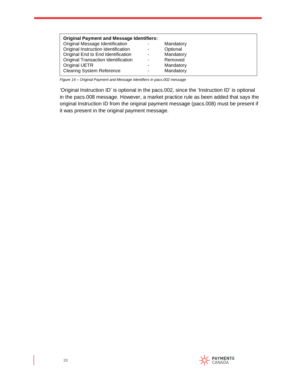| <b>Original Payment and Message Identifiers:</b> |   |           |  |  |
|--------------------------------------------------|---|-----------|--|--|
| Original Message Identification                  |   | Mandatory |  |  |
| Original Instruction Identification              |   | Optional  |  |  |
| Original End to End Identification               |   | Mandatory |  |  |
| <b>Original Transaction Identification</b>       | ٠ | Removed   |  |  |
| Original UETR                                    |   | Mandatory |  |  |
| <b>Clearing System Reference</b>                 |   | Mandatory |  |  |

*Figure 14 – Original Payment and Message Identifiers in pacs.002 message*

'Original Instruction ID' is optional in the pacs.002, since the 'Instruction ID' is optional in the pacs.008 message. However, a market practice rule as been added that says the original Instruction ID from the original payment message (pacs.008) must be present if it was present in the original payment message.

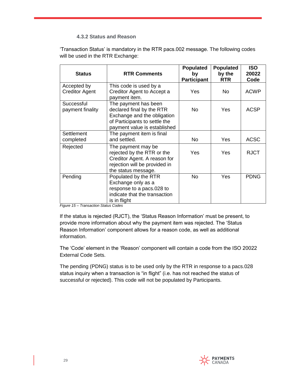#### **4.3.2 Status and Reason**

<span id="page-28-0"></span>'Transaction Status' is mandatory in the RTR pacs.002 message. The following codes will be used in the RTR Exchange:

|                       |                                             | <b>Populated</b>   | <b>Populated</b> | <b>ISO</b>  |
|-----------------------|---------------------------------------------|--------------------|------------------|-------------|
| <b>Status</b>         | <b>RTR Comments</b>                         | by                 | by the           | 20022       |
|                       |                                             | <b>Participant</b> | <b>RTR</b>       | Code        |
| Accepted by           | This code is used by a                      |                    |                  |             |
| <b>Creditor Agent</b> | Creditor Agent to Accept a<br>payment item. | <b>Yes</b>         | <b>No</b>        | <b>ACWP</b> |
| Successful            | The payment has been                        |                    |                  |             |
| payment finality      | declared final by the RTR                   | <b>No</b>          | <b>Yes</b>       | <b>ACSP</b> |
|                       | Exchange and the obligation                 |                    |                  |             |
|                       | of Participants to settle the               |                    |                  |             |
|                       | payment value is established                |                    |                  |             |
| <b>Settlement</b>     | The payment item is final                   |                    |                  |             |
| completed             | and settled.                                | No                 | <b>Yes</b>       | <b>ACSC</b> |
| Rejected              | The payment may be                          |                    |                  |             |
|                       | rejected by the RTR or the                  | Yes                | <b>Yes</b>       | <b>RJCT</b> |
|                       | Creditor Agent. A reason for                |                    |                  |             |
|                       | rejection will be provided in               |                    |                  |             |
|                       | the status message.                         |                    |                  |             |
| Pending               | Populated by the RTR                        | <b>No</b>          | <b>Yes</b>       | <b>PDNG</b> |
|                       | Exchange only as a                          |                    |                  |             |
|                       | response to a pacs.028 to                   |                    |                  |             |
|                       | indicate that the transaction               |                    |                  |             |
|                       | is in flight                                |                    |                  |             |

*Figure 15 – Transaction Status Codes*

If the status is rejected (RJCT), the 'Status Reason Information' must be present, to provide more information about why the payment item was rejected. The 'Status Reason Information' component allows for a reason code, as well as additional information.

The 'Code' element in the 'Reason' component will contain a code from the ISO 20022 External Code Sets.

The pending (PDNG) status is to be used only by the RTR in response to a pacs.028 status inquiry when a transaction is "in flight" (i.e. has not reached the status of successful or rejected). This code will not be populated by Participants.

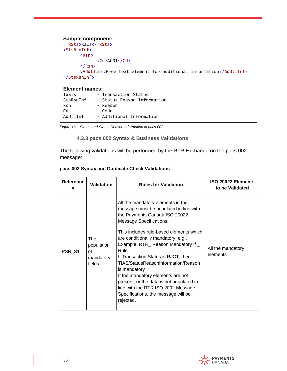| Sample component:<br><txsts>RJCT</txsts><br>$<$ StsRsnInf><br>$\langle$ Rsn $\rangle$ |                                                                                                       |
|---------------------------------------------------------------------------------------|-------------------------------------------------------------------------------------------------------|
|                                                                                       | $\langle Cd\rangle$ AC01 $\langle Cd\rangle$                                                          |
| $\langle$ /Rsn>                                                                       | <addtlinf>Free text element for additional information</addtlinf>                                     |
|                                                                                       |                                                                                                       |
| Element names:                                                                        |                                                                                                       |
| TxSts<br>StsRsnInf<br><b>Rsn</b><br>Cd<br>AddtlTnf                                    | - Transaction Status<br>- Status Reason Information<br>- Reason<br>- Code<br>- Additional Information |

<span id="page-29-0"></span>*Figure 16 – Status and Status Reason Information in pacs.002*

**4.3.3 pacs.002 Syntax & Business Validations**

The following validations will be performed by the RTR Exchange on the pacs.002 message:

|  |  |  |  | pacs.002 Syntax and Duplicate Check Validations |
|--|--|--|--|-------------------------------------------------|
|--|--|--|--|-------------------------------------------------|

| <b>Reference</b><br># | <b>Validation</b>                              | <b>Rules for Validation</b>                                                                                                                                                                                                                                                                                                                                                                                                                                                                                                                        | ISO 20022 Elements<br>to be Validated |
|-----------------------|------------------------------------------------|----------------------------------------------------------------------------------------------------------------------------------------------------------------------------------------------------------------------------------------------------------------------------------------------------------------------------------------------------------------------------------------------------------------------------------------------------------------------------------------------------------------------------------------------------|---------------------------------------|
| PSR <sub>S1</sub>     | The<br>population<br>of<br>mandatory<br>fields | All the mandatory elements in the<br>message must be populated in line with<br>the Payments Canada ISO 20022<br>Message Specifications.<br>This includes rule-based elements which<br>are conditionally mandatory, e.g.,<br>Example: RTR_ Reason Mandatory If _<br>Rule":<br>If Transaction Status is RJCT, then<br>TIAS/StatusReasonInformation/Reason<br>is mandatory<br>If the mandatory elements are not<br>present, or the data is not populated in<br>line with the RTR ISO 2002 Message<br>Specifications, the message will be<br>rejected. | All the mandatory<br>elements         |

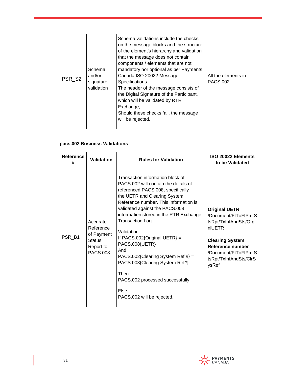| PSR_S2 | Schema<br>and/or<br>signature<br>validation | Schema validations include the checks<br>on the message blocks and the structure<br>of the element's hierarchy and validation<br>that the message does not contain<br>components / elements that are not<br>mandatory nor optional as per Payments<br>Canada ISO 20022 Message<br>Specifications.<br>The header of the message consists of<br>the Digital Signature of the Participant,<br>which will be validated by RTR<br>Exchange;<br>Should these checks fail, the message<br>will be rejected. | All the elements in<br><b>PACS.002</b> |
|--------|---------------------------------------------|------------------------------------------------------------------------------------------------------------------------------------------------------------------------------------------------------------------------------------------------------------------------------------------------------------------------------------------------------------------------------------------------------------------------------------------------------------------------------------------------------|----------------------------------------|
|--------|---------------------------------------------|------------------------------------------------------------------------------------------------------------------------------------------------------------------------------------------------------------------------------------------------------------------------------------------------------------------------------------------------------------------------------------------------------------------------------------------------------------------------------------------------------|----------------------------------------|

#### **pacs.002 Business Validations**

| Reference<br>#    | Validation                                                                    | <b>Rules for Validation</b>                                                                                                                                                                                                                                                                                                                                                                                                                                                                                               | ISO 20022 Elements<br>to be Validated                                                                                                                                                    |
|-------------------|-------------------------------------------------------------------------------|---------------------------------------------------------------------------------------------------------------------------------------------------------------------------------------------------------------------------------------------------------------------------------------------------------------------------------------------------------------------------------------------------------------------------------------------------------------------------------------------------------------------------|------------------------------------------------------------------------------------------------------------------------------------------------------------------------------------------|
| PSR <sub>B1</sub> | Accurate<br>Reference<br>of Payment<br><b>Status</b><br>Report to<br>PACS.008 | Transaction information block of<br>PACS.002 will contain the details of<br>referenced PACS.008, specifically<br>the UETR and Clearing System<br>Reference number. This information is<br>validated against the PACS.008<br>information stored in the RTR Exchange<br>Transaction Log.<br>Validation:<br>If PACS.002{Original UETR} =<br>PACS.008{UETR}<br>And<br>PACS.002{Clearing System Ref #} =<br>PACS.008{Clearing System Ref#}<br>Then:<br>PACS.002 processed successfully.<br>Else:<br>PACS.002 will be rejected. | <b>Original UETR</b><br>/Document/FIToFIPmtS<br>tsRpt/TxInfAndSts/Org<br>nIUETR<br><b>Clearing System</b><br>Reference number<br>/Document/FIToFIPmtS<br>tsRpt/TxInfAndSts/ClrS<br>ysRef |

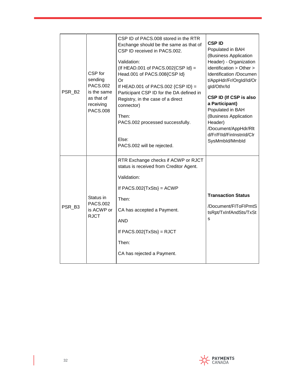| PSR_B2 | CSP for<br>sending<br><b>PACS.002</b><br>is the same<br>as that of<br>receiving<br><b>PACS.008</b> | CSP ID of PACS.008 stored in the RTR<br>Exchange should be the same as that of<br>CSP ID received in PACS.002.<br>Validation:<br>(If HEAD.001 of PACS.002{CSP $\text{Id}$ } =<br>Head.001 of PACS.008{CSP Id}<br>Or<br>If HEAD.001 of PACS.002 $\{CSP ID\} =$<br>Participant CSP ID for the DA defined in<br>Registry, in the case of a direct<br>connector)<br>Then:<br>PACS.002 processed successfully.<br>Else:<br>PACS.002 will be rejected. | <b>CSPID</b><br>Populated in BAH<br>(Business Application<br>Header) - Organization<br>identification > Other ><br>Identification /Documen<br>t/AppHdr/Fr/OrgId/Id/Or<br>gld/Othr/Id<br><b>CSP ID (If CSP is also</b><br>a Participant)<br>Populated in BAH<br>(Business Application<br>Header)<br>/Document/AppHdr/Rlt<br>d/Fr/FIId/FinInstnId/Clr<br>SysMmbld/Mmbld |
|--------|----------------------------------------------------------------------------------------------------|--------------------------------------------------------------------------------------------------------------------------------------------------------------------------------------------------------------------------------------------------------------------------------------------------------------------------------------------------------------------------------------------------------------------------------------------------|-----------------------------------------------------------------------------------------------------------------------------------------------------------------------------------------------------------------------------------------------------------------------------------------------------------------------------------------------------------------------|
| PSR B3 | Status in<br><b>PACS.002</b><br>is ACWP or<br><b>RJCT</b>                                          | RTR Exchange checks if ACWP or RJCT<br>status is received from Creditor Agent.<br>Validation:<br>If $PACS.002$ {TxSts} = ACWP<br>Then:<br>CA has accepted a Payment.<br><b>AND</b><br>If $PACS.002$ {TxSts} = RJCT<br>Then:<br>CA has rejected a Payment.                                                                                                                                                                                        | <b>Transaction Status</b><br>/Document/FIToFIPmtS<br>tsRpt/TxInfAndSts/TxSt<br>S                                                                                                                                                                                                                                                                                      |

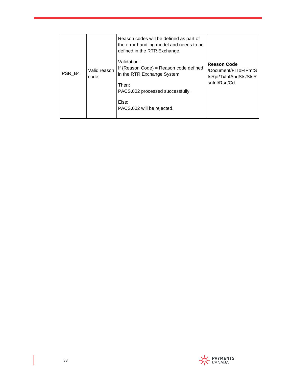|        |                      | Reason codes will be defined as part of<br>the error handling model and needs to be<br>defined in the RTR Exchange.                |                                                                                      |
|--------|----------------------|------------------------------------------------------------------------------------------------------------------------------------|--------------------------------------------------------------------------------------|
| PSR B4 | Valid reason<br>code | Validation:<br>If ${Reason Code} = Reason code defined$<br>in the RTR Exchange System<br>Then:<br>PACS.002 processed successfully. | <b>Reason Code</b><br>/Document/FIToFIPmtS<br>tsRpt/TxInfAndSts/StsR<br>sninf/Rsn/Cd |
|        |                      | Else:<br>PACS.002 will be rejected.                                                                                                |                                                                                      |

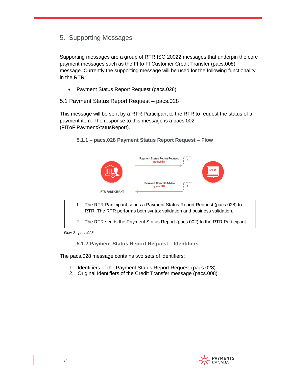# <span id="page-33-0"></span>5. Supporting Messages

Supporting messages are a group of RTR ISO 20022 messages that underpin the core payment messages such as the FI to FI Customer Credit Transfer (pacs.008) message. Currently the supporting message will be used for the following functionality in the RTR:

• Payment Status Report Request (pacs.028)

#### <span id="page-33-1"></span>5.1 Payment Status Report Request – pacs.028

This message will be sent by a RTR Participant to the RTR to request the status of a payment item. The response to this message is a pacs.002 (FIToFIPaymentStatusReport).

#### <span id="page-33-2"></span>**5.1.1 – pacs.028 Payment Status Report Request – Flow**



- 1. The RTR Participant sends a Payment Status Report Request (pacs.028) to RTR. The RTR performs both syntax validation and business validation.
- 2. The RTR sends the Payment Status Report (pacs.002) to the RTR Participant

<span id="page-33-3"></span> *Flow 2 - pacs.028*

**5.1.2 Payment Status Report Request – Identifiers**

The pacs.028 message contains two sets of identifiers:

- 1. Identifiers of the Payment Status Report Request (pacs.028)
- 2. Original Identifiers of the Credit Transfer message (pacs.008)

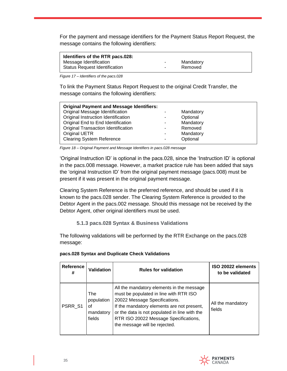For the payment and message identifiers for the Payment Status Report Request, the message contains the following identifiers:

| Identifiers of the RTR pacs.028:     |               |           |
|--------------------------------------|---------------|-----------|
| Message Identification               | ۰.            | Mandatory |
| <b>Status Request Identification</b> | $\sim$ $\sim$ | Removed   |

*Figure 17 – Identifiers of the pacs.028* 

To link the Payment Status Report Request to the original Credit Transfer, the message contains the following identifiers:

| <b>Original Payment and Message Identifiers:</b> |   |           |
|--------------------------------------------------|---|-----------|
| Original Message Identification                  |   | Mandatory |
| Original Instruction Identification              |   | Optional  |
| Original End to End Identification               | ۰ | Mandatory |
| <b>Original Transaction Identification</b>       |   | Removed   |
| Original UETR                                    | ۰ | Mandatory |
| <b>Clearing System Reference</b>                 | - | Optional  |

*Figure 18 – Original Payment and Message Identifiers in pacs.028 message*

'Original Instruction ID' is optional in the pacs.028, since the 'Instruction ID' is optional in the pacs.008 message. However, a market practice rule has been added that says the 'original Instruction ID' from the original payment message (pacs.008) must be present if it was present in the original payment message.

Clearing System Reference is the preferred reference, and should be used if it is known to the pacs.028 sender. The Clearing System Reference is provided to the Debtor Agent in the pacs.002 message. Should this message not be received by the Debtor Agent, other original identifiers must be used.

**5.1.3 pacs.028 Syntax & Business Validations**

<span id="page-34-0"></span>The following validations will be performed by the RTR Exchange on the pacs.028 message:

| Reference<br># | <b>Validation</b>                              | <b>Rules for validation</b>                                                                                                                                                                                                                                                                   | ISO 20022 elements<br>to be validated |
|----------------|------------------------------------------------|-----------------------------------------------------------------------------------------------------------------------------------------------------------------------------------------------------------------------------------------------------------------------------------------------|---------------------------------------|
| PSRR S1        | The<br>population<br>Ωf<br>mandatory<br>fields | All the mandatory elements in the message<br>must be populated in line with RTR ISO<br>20022 Message Specifications.<br>If the mandatory elements are not present,<br>or the data is not populated in line with the<br>RTR ISO 20022 Message Specifications,<br>the message will be rejected. | All the mandatory<br>fields           |

#### **pacs.028 Syntax and Duplicate Check Validations**

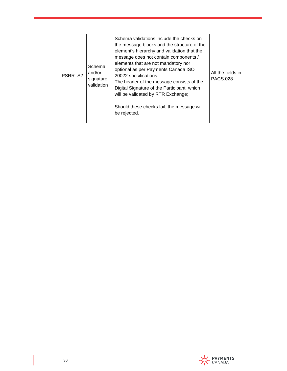| PSRR S2 | Schema<br>and/or<br>signature<br>validation | Schema validations include the checks on<br>the message blocks and the structure of the<br>element's hierarchy and validation that the<br>message does not contain components /<br>elements that are not mandatory nor<br>optional as per Payments Canada ISO<br>20022 specifications.<br>The header of the message consists of the<br>Digital Signature of the Participant, which<br>will be validated by RTR Exchange;<br>Should these checks fail, the message will<br>be rejected. | All the fields in<br><b>PACS.028</b> |
|---------|---------------------------------------------|----------------------------------------------------------------------------------------------------------------------------------------------------------------------------------------------------------------------------------------------------------------------------------------------------------------------------------------------------------------------------------------------------------------------------------------------------------------------------------------|--------------------------------------|
|---------|---------------------------------------------|----------------------------------------------------------------------------------------------------------------------------------------------------------------------------------------------------------------------------------------------------------------------------------------------------------------------------------------------------------------------------------------------------------------------------------------------------------------------------------------|--------------------------------------|

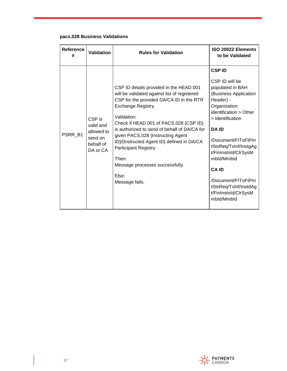#### **pacs.028 Business Validations**

| Reference<br># | <b>Validation</b>                                                     | <b>Rules for Validation</b>                                                                                                                                                                                                                                                                                                                                                                                                                                 | ISO 20022 Elements<br>to be Validated                                                                                                                                                                                                                                                                                                                          |
|----------------|-----------------------------------------------------------------------|-------------------------------------------------------------------------------------------------------------------------------------------------------------------------------------------------------------------------------------------------------------------------------------------------------------------------------------------------------------------------------------------------------------------------------------------------------------|----------------------------------------------------------------------------------------------------------------------------------------------------------------------------------------------------------------------------------------------------------------------------------------------------------------------------------------------------------------|
| PSRR B1        | CSP is<br>valid and<br>allowed to<br>send on<br>behalf of<br>DA or CA | CSP ID details provided in the HEAD.001<br>will be validated against list of registered<br>CSP for the provided DA/CA ID in the RTR<br>Exchange Registry.<br>Validation:<br>Check if HEAD.001 of PACS.028 {CSP ID}<br>is authorized to send of behalf of DA/CA for<br>given PACS.028 {Instructing Agent<br>ID}/{Instructed Agent ID} defined in DA/CA<br><b>Participant Registry</b><br>Then:<br>Message processes successfully.<br>Else:<br>Message fails. | <b>CSPID</b><br>CSP ID will be<br>populated in BAH<br>(Business Application<br>Header) -<br>Organization<br>identification > Other<br>> Identification<br><b>DAID</b><br>/Document/FIToFIPm<br>tStsReq/TxInf/InstgAg<br>t/FinInstnId/CIrSysM<br>mbld/Mmbld<br><b>CAID</b><br>/Document/FIToFIPm<br>tStsReq/TxInf/InstdAg<br>t/FinInstnId/ClrSysM<br>mbld/Mmbld |

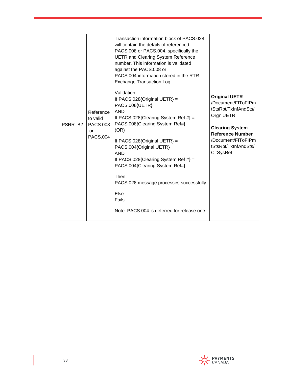| PSRR B2 | Reference<br>to valid<br><b>PACS.008</b><br>or<br><b>PACS.004</b> | Transaction information block of PACS.028<br>will contain the details of referenced<br>PACS.008 or PACS.004, specifically the<br><b>UETR and Clearing System Reference</b><br>number. This information is validated<br>against the PACS.008 or<br>PACS.004 information stored in the RTR<br>Exchange Transaction Log.<br>Validation:<br>If PACS.028{Original UETR} =<br>PACS.008{UETR}<br><b>AND</b><br>If PACS.028{Clearing System Ref #} =<br>PACS.008{Clearing System Ref#}<br>(OR)<br>If PACS.028{Original UETR} =<br>PACS.004{Original UETR}<br><b>AND</b><br>If PACS.028{Clearing System Ref #} =<br>PACS.004{Clearing System Ref#}<br>Then:<br>PACS.028 message processes successfully.<br>Else:<br>Fails.<br>Note: PACS.004 is deferred for release one. | <b>Original UETR</b><br>/Document/FIToFIPm<br>tStsRpt/TxInfAndSts/<br>OrgnIUETR<br><b>Clearing System</b><br><b>Reference Number</b><br>/Document/FIToFIPm<br>tStsRpt/TxInfAndSts/<br><b>CIrSysRef</b> |
|---------|-------------------------------------------------------------------|------------------------------------------------------------------------------------------------------------------------------------------------------------------------------------------------------------------------------------------------------------------------------------------------------------------------------------------------------------------------------------------------------------------------------------------------------------------------------------------------------------------------------------------------------------------------------------------------------------------------------------------------------------------------------------------------------------------------------------------------------------------|--------------------------------------------------------------------------------------------------------------------------------------------------------------------------------------------------------|
|---------|-------------------------------------------------------------------|------------------------------------------------------------------------------------------------------------------------------------------------------------------------------------------------------------------------------------------------------------------------------------------------------------------------------------------------------------------------------------------------------------------------------------------------------------------------------------------------------------------------------------------------------------------------------------------------------------------------------------------------------------------------------------------------------------------------------------------------------------------|--------------------------------------------------------------------------------------------------------------------------------------------------------------------------------------------------------|

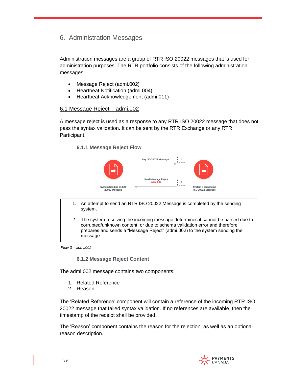# <span id="page-38-0"></span>6. Administration Messages

Administration messages are a group of RTR ISO 20022 messages that is used for administration purposes. The RTR portfolio consists of the following administration messages:

- Message Reject (admi.002)
- Heartbeat Notification (admi.004)
- Heartbeat Acknowledgement (admi.011)

#### <span id="page-38-1"></span>6.1 Message Reject – admi.002

A message reject is used as a response to any RTR ISO 20022 message that does not pass the syntax validation. It can be sent by the RTR Exchange or any RTR Participant.

#### <span id="page-38-2"></span>**6.1.1 Message Reject Flow**



- 1. An attempt to send an RTR ISO 20022 Message is completed by the sending system.
- 2. The system receiving the incoming message determines it cannot be parsed due to corrupted/unknown content, or due to schema validation error and therefore prepares and sends a "Message Reject" (admi.002) to the system sending the message.

<span id="page-38-3"></span>*Flow 3 – admi.002*

**6.1.2 Message Reject Content**

The admi.002 message contains two components:

- 1. Related Reference
- 2. Reason

The 'Related Reference' component will contain a reference of the incoming RTR ISO 20022 message that failed syntax validation. If no references are available, then the timestamp of the receipt shall be provided.

The 'Reason' component contains the reason for the rejection, as well as an optional reason description.

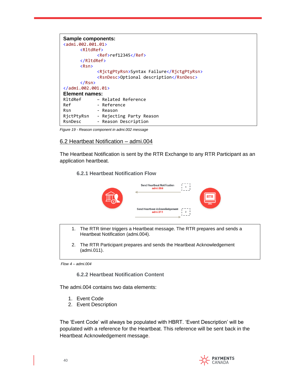| Sample components:<br>$\zeta$ admi.002.001.01><br><b><rltdref></rltdref></b> |                                                                                      |
|------------------------------------------------------------------------------|--------------------------------------------------------------------------------------|
|                                                                              | $\langle Ref \rangle$ ref12345 $\langle$ Ref $\rangle$                               |
|                                                                              |                                                                                      |
| $<$ Rsn $>$                                                                  |                                                                                      |
|                                                                              | <rjctgptyrsn>Syntax Failure</rjctgptyrsn><br><rsndesc>Optional description</rsndesc> |
| $\langle$ /Rsn $\rangle$                                                     |                                                                                      |
| $\langle$ /admi.002.001.01>                                                  |                                                                                      |
| Element names:                                                               |                                                                                      |
|                                                                              | RltdRef - Related Reference                                                          |
| Ref                                                                          | - Reference                                                                          |
| Rsn                                                                          | - Reason                                                                             |
| RjctPtyRsn                                                                   | - Rejecting Party Reason                                                             |
| RsnDesc                                                                      | - Reason Description                                                                 |

*Figure 19 - Reason component in admi.002 message*

#### <span id="page-39-0"></span>6.2 Heartbeat Notification – admi.004

The Heartbeat Notification is sent by the RTR Exchange to any RTR Participant as an application heartbeat.

#### <span id="page-39-1"></span>**6.2.1 Heartbeat Notification Flow**



- 1. The RTR timer triggers a Heartbeat message. The RTR prepares and sends a Heartbeat Notification (admi.004).
- 2. The RTR Participant prepares and sends the Heartbeat Acknowledgement (admi.011).

<span id="page-39-2"></span>*Flow 4 – admi.004*

**6.2.2 Heartbeat Notification Content**

The admi.004 contains two data elements:

- 1. Event Code
- 2. Event Description

The 'Event Code' will always be populated with HBRT. 'Event Description' will be populated with a reference for the Heartbeat. This reference will be sent back in the Heartbeat Acknowledgement message.

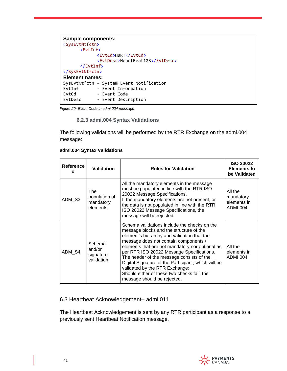| <b>Sample components:</b><br><sysevtntfctn></sysevtntfctn> |
|------------------------------------------------------------|
| <evtinf></evtinf>                                          |
| <evtcd>HBRT</evtcd>                                        |
| <evtdesc>HeartBeat123</evtdesc>                            |
| $\langle$ /EvtInf>                                         |
|                                                            |
| <b>Element names:</b>                                      |
| SysEvtNtfctn - System Event Notification                   |
| - Event Information<br>EvtInf                              |
| EvtCd<br>- Event Code                                      |
| - Event Description<br>EytDesc                             |

<span id="page-40-0"></span>*Figure 20- Event Code in admi.004 message*

#### **6.2.3 admi.004 Syntax Validations**

The following validations will be performed by the RTR Exchange on the admi.004 message:

| Reference<br># | <b>Validation</b>                             | <b>Rules for Validation</b>                                                                                                                                                                                                                                                                                                                                                                                                                                                                         | <b>ISO 20022</b><br>Elements to<br>be Validated |
|----------------|-----------------------------------------------|-----------------------------------------------------------------------------------------------------------------------------------------------------------------------------------------------------------------------------------------------------------------------------------------------------------------------------------------------------------------------------------------------------------------------------------------------------------------------------------------------------|-------------------------------------------------|
| ADM_S3         | The<br>population of<br>mandatory<br>elements | All the mandatory elements in the message<br>must be populated in line with the RTR ISO<br>20022 Message Specifications.<br>If the mandatory elements are not present, or<br>the data is not populated in line with the RTR<br>ISO 20022 Message Specifications, the<br>message will be rejected.                                                                                                                                                                                                   | All the<br>mandatory<br>elements in<br>ADMI.004 |
| ADM S4         | Schema<br>and/or<br>signature<br>validation   | Schema validations include the checks on the<br>message blocks and the structure of the<br>element's hierarchy and validation that the<br>message does not contain components /<br>elements that are not mandatory nor optional as<br>per RTR ISO 20022 Message Specifications.<br>The header of the message consists of the<br>Digital Signature of the Participant, which will be<br>validated by the RTR Exchange;<br>Should either of these two checks fail, the<br>message should be rejected. | All the<br>elements in<br>ADMI.004              |

#### **admi.004 Syntax Validations**

#### <span id="page-40-1"></span>6.3 Heartbeat Acknowledgement– admi.011

The Heartbeat Acknowledgement is sent by any RTR participant as a response to a previously sent Heartbeat Notification message.

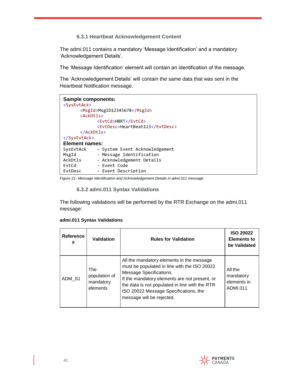#### **6.3.1 Heartbeat Acknowledgement Content**

<span id="page-41-0"></span>The admi.011 contains a mandatory 'Message Identification' and a mandatory 'Acknowledgement Details'.

The 'Message Identification' element will contain an identification of the message.

The 'Acknowledgement Details' will contain the same data that was sent in the Heartbeat Notification message.

| <b>Sample components:</b><br><sysevtack></sysevtack> |                                 |
|------------------------------------------------------|---------------------------------|
|                                                      | <msgid>MsgID12345678</msgid>    |
|                                                      | $\langle AckDt$ ] s>            |
|                                                      | <evtcd>HBRT</evtcd>             |
|                                                      | <evtdesc>HeartBeat123</evtdesc> |
|                                                      |                                 |
|                                                      |                                 |
| <b>Element names:</b>                                |                                 |
| SysEvtAck                                            | - System Event Acknowledgement  |
| MsgId                                                | - Message Identification        |
| AckDtls                                              | - Acknowledgement Details       |
| EvtCd                                                | - Event Code                    |
| EvtDesc                                              | - Event Description             |

<span id="page-41-1"></span>*Figure 21- Message Identification and Acknowledgement Details in admi.011 message*

**6.3.2 admi.011 Syntax Validations**

The following validations will be performed by the RTR Exchange on the admi.011 message:

| Reference<br># | Validation                                           | <b>Rules for Validation</b>                                                                                                                                                                                                                                                                   | <b>ISO 20022</b><br><b>Elements to</b><br>be Validated |
|----------------|------------------------------------------------------|-----------------------------------------------------------------------------------------------------------------------------------------------------------------------------------------------------------------------------------------------------------------------------------------------|--------------------------------------------------------|
| ADM S1         | <b>The</b><br>population of<br>mandatory<br>elements | All the mandatory elements in the message<br>must be populated in line with the ISO 20022<br>Message Specifications.<br>If the mandatory elements are not present, or<br>the data is not populated in line with the RTR<br>ISO 20022 Message Specifications, the<br>message will be rejected. | All the<br>mandatory<br>elements in<br>ADMI.011        |

#### **admi.011 Syntax Validations**

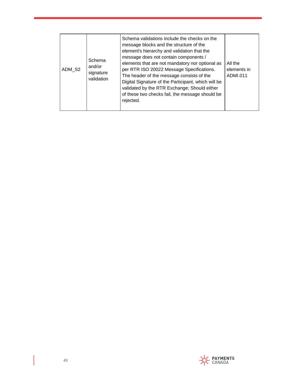| ADM S2 | Schema<br>and/or<br>signature<br>validation | Schema validations include the checks on the<br>message blocks and the structure of the<br>element's hierarchy and validation that the<br>message does not contain components /<br>elements that are not mandatory nor optional as<br>per RTR ISO 20022 Message Specifications.<br>The header of the message consists of the<br>Digital Signature of the Participant, which will be<br>validated by the RTR Exchange; Should either<br>of these two checks fail, the message should be<br>rejected. | All the<br>elements in<br>ADMI.011 |
|--------|---------------------------------------------|-----------------------------------------------------------------------------------------------------------------------------------------------------------------------------------------------------------------------------------------------------------------------------------------------------------------------------------------------------------------------------------------------------------------------------------------------------------------------------------------------------|------------------------------------|
|--------|---------------------------------------------|-----------------------------------------------------------------------------------------------------------------------------------------------------------------------------------------------------------------------------------------------------------------------------------------------------------------------------------------------------------------------------------------------------------------------------------------------------------------------------------------------------|------------------------------------|

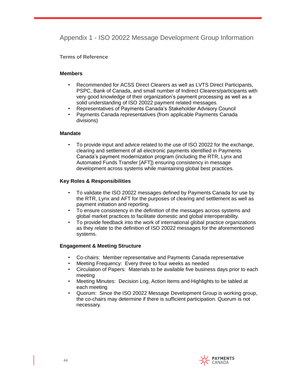<span id="page-43-0"></span>Appendix 1 - ISO 20022 Message Development Group Information

<span id="page-43-1"></span>**Terms of Reference**

#### **Members**

- Recommended for ACSS Direct Clearers as well as LVTS Direct Participants, PSPC, Bank of Canada, and small number of Indirect Clearers/participants with very good knowledge of their organization's payment processing as well as a solid understanding of ISO 20022 payment related messages.
- Representatives of Payments Canada's Stakeholder Advisory Council
- Payments Canada representatives (from applicable Payments Canada divisions)

#### **Mandate**

• To provide input and advice related to the use of ISO 20022 for the exchange, clearing and settlement of all electronic payments identified in Payments Canada's payment modernization program (including the RTR, Lynx and Automated Funds Transfer [AFT]) ensuring consistency in message development across systems while maintaining global best practices.

#### **Key Roles & Responsibilities**

- To validate the ISO 20022 messages defined by Payments Canada for use by the RTR, Lynx and AFT for the purposes of clearing and settlement as well as payment initiation and reporting.
- To ensure consistency in the definition of the messages across systems and global market practices to facilitate domestic and global interoperability.
- To provide feedback into the work of international global practice organizations as they relate to the definition of ISO 20022 messages for the aforementioned systems.

#### **Engagement & Meeting Structure**

- Co-chairs: Member representative and Payments Canada representative
- Meeting Frequency: Every three to four weeks as needed
- Circulation of Papers: Materials to be available five business days prior to each meeting
- Meeting Minutes: Decision Log, Action Items and Highlights to be tabled at each meeting
- Quorum: Since the ISO 20022 Message Development Group is working group, the co-chairs may determine if there is sufficient participation. Quorum is not necessary.

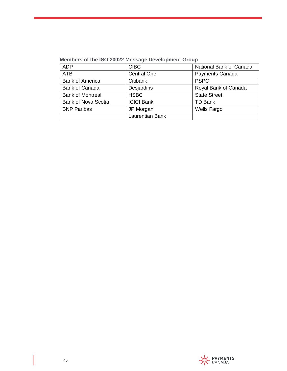## <span id="page-44-0"></span>**Members of the ISO 20022 Message Development Group**

| <b>ADP</b>                 | <b>CIBC</b>        | National Bank of Canada |
|----------------------------|--------------------|-------------------------|
| <b>ATB</b>                 | <b>Central One</b> | Payments Canada         |
| <b>Bank of America</b>     | Citibank           | <b>PSPC</b>             |
| <b>Bank of Canada</b>      | <b>Desjardins</b>  | Royal Bank of Canada    |
| <b>Bank of Montreal</b>    | <b>HSBC</b>        | <b>State Street</b>     |
| <b>Bank of Nova Scotia</b> | <b>ICICI Bank</b>  | <b>TD Bank</b>          |
| <b>BNP Paribas</b>         | JP Morgan          | <b>Wells Fargo</b>      |
|                            | Laurentian Bank    |                         |

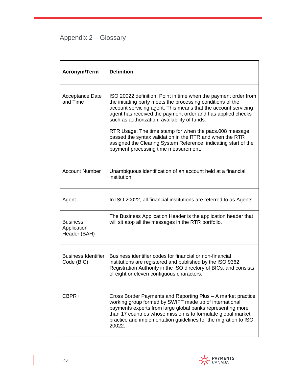# <span id="page-45-0"></span>Appendix 2 – Glossary

| <b>Acronym/Term</b>                            | <b>Definition</b>                                                                                                                                                                                                                                                                                                                  |
|------------------------------------------------|------------------------------------------------------------------------------------------------------------------------------------------------------------------------------------------------------------------------------------------------------------------------------------------------------------------------------------|
| Acceptance Date<br>and Time                    | ISO 20022 definition: Point in time when the payment order from<br>the initiating party meets the processing conditions of the<br>account servicing agent. This means that the account servicing<br>agent has received the payment order and has applied checks<br>such as authorization, availability of funds.                   |
|                                                | RTR Usage: The time stamp for when the pacs.008 message<br>passed the syntax validation in the RTR and when the RTR<br>assigned the Clearing System Reference, indicating start of the<br>payment processing time measurement.                                                                                                     |
| <b>Account Number</b>                          | Unambiguous identification of an account held at a financial<br>institution.                                                                                                                                                                                                                                                       |
| Agent                                          | In ISO 20022, all financial institutions are referred to as Agents.                                                                                                                                                                                                                                                                |
| <b>Business</b><br>Application<br>Header (BAH) | The Business Application Header is the application header that<br>will sit atop all the messages in the RTR portfolio.                                                                                                                                                                                                             |
| <b>Business Identifier</b><br>Code (BIC)       | Business identifier codes for financial or non-financial<br>institutions are registered and published by the ISO 9362<br>Registration Authority in the ISO directory of BICs, and consists<br>of eight or eleven contiguous characters.                                                                                            |
| CBPR+                                          | Cross Border Payments and Reporting Plus - A market practice<br>working group formed by SWIFT made up of international<br>payments experts from large global banks representing more<br>than 17 countries whose mission is to formulate global market<br>practice and implementation guidelines for the migration to ISO<br>20022. |

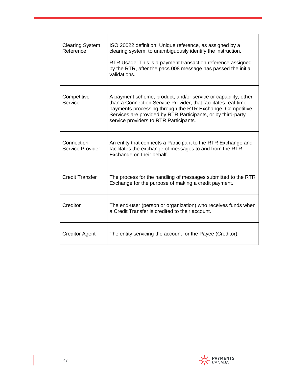| <b>Clearing System</b><br>Reference   | ISO 20022 definition: Unique reference, as assigned by a<br>clearing system, to unambiguously identify the instruction.<br>RTR Usage: This is a payment transaction reference assigned<br>by the RTR, after the pacs.008 message has passed the initial<br>validations.                                 |
|---------------------------------------|---------------------------------------------------------------------------------------------------------------------------------------------------------------------------------------------------------------------------------------------------------------------------------------------------------|
| Competitive<br>Service                | A payment scheme, product, and/or service or capability, other<br>than a Connection Service Provider, that facilitates real-time<br>payments processing through the RTR Exchange. Competitive<br>Services are provided by RTR Participants, or by third-party<br>service providers to RTR Participants. |
| Connection<br><b>Service Provider</b> | An entity that connects a Participant to the RTR Exchange and<br>facilitates the exchange of messages to and from the RTR<br>Exchange on their behalf.                                                                                                                                                  |
| <b>Credit Transfer</b>                | The process for the handling of messages submitted to the RTR<br>Exchange for the purpose of making a credit payment.                                                                                                                                                                                   |
| Creditor                              | The end-user (person or organization) who receives funds when<br>a Credit Transfer is credited to their account.                                                                                                                                                                                        |
| <b>Creditor Agent</b>                 | The entity servicing the account for the Payee (Creditor).                                                                                                                                                                                                                                              |

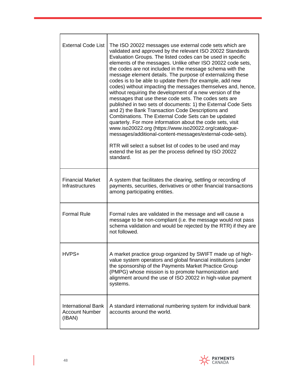| <b>External Code List</b>                             | The ISO 20022 messages use external code sets which are<br>validated and approved by the relevant ISO 20022 Standards<br>Evaluation Groups. The listed codes can be used in specific<br>elements of the messages. Unlike other ISO 20022 code sets,<br>the codes are not included in the message schema with the<br>message element details. The purpose of externalizing these<br>codes is to be able to update them (for example, add new<br>codes) without impacting the messages themselves and, hence,<br>without requiring the development of a new version of the<br>messages that use these code sets. The codes sets are<br>published in two sets of documents: 1) the External Code Sets<br>and 2) the Bank Transaction Code Descriptions and<br>Combinations. The External Code Sets can be updated<br>quarterly. For more information about the code sets, visit<br>www.iso20022.org (https://www.iso20022.org/catalogue-<br>messages/additional-content-messages/external-code-sets).<br>RTR will select a subset list of codes to be used and may<br>extend the list as per the process defined by ISO 20022<br>standard. |
|-------------------------------------------------------|-----------------------------------------------------------------------------------------------------------------------------------------------------------------------------------------------------------------------------------------------------------------------------------------------------------------------------------------------------------------------------------------------------------------------------------------------------------------------------------------------------------------------------------------------------------------------------------------------------------------------------------------------------------------------------------------------------------------------------------------------------------------------------------------------------------------------------------------------------------------------------------------------------------------------------------------------------------------------------------------------------------------------------------------------------------------------------------------------------------------------------------------|
| <b>Financial Market</b><br>Infrastructures            | A system that facilitates the clearing, settling or recording of<br>payments, securities, derivatives or other financial transactions<br>among participating entities.                                                                                                                                                                                                                                                                                                                                                                                                                                                                                                                                                                                                                                                                                                                                                                                                                                                                                                                                                                  |
| <b>Formal Rule</b>                                    | Formal rules are validated in the message and will cause a<br>message to be non-compliant (i.e. the message would not pass<br>schema validation and would be rejected by the RTR) if they are<br>not followed.                                                                                                                                                                                                                                                                                                                                                                                                                                                                                                                                                                                                                                                                                                                                                                                                                                                                                                                          |
| HVPS+                                                 | A market practice group organized by SWIFT made up of high-<br>value system operators and global financial institutions (under<br>the sponsorship of the Payments Market Practice Group<br>(PMPG) whose mission is to promote harmonization and<br>alignment around the use of ISO 20022 in high-value payment<br>systems.                                                                                                                                                                                                                                                                                                                                                                                                                                                                                                                                                                                                                                                                                                                                                                                                              |
| International Bank<br><b>Account Number</b><br>(IBAN) | A standard international numbering system for individual bank<br>accounts around the world.                                                                                                                                                                                                                                                                                                                                                                                                                                                                                                                                                                                                                                                                                                                                                                                                                                                                                                                                                                                                                                             |

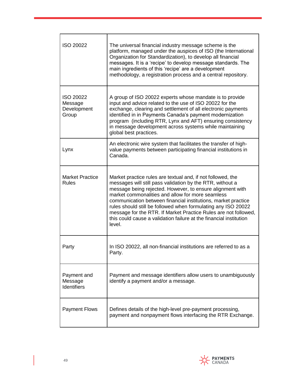| <b>ISO 20022</b>                             | The universal financial industry message scheme is the<br>platform, managed under the auspices of ISO (the International<br>Organization for Standardization), to develop all financial<br>messages. It is a 'recipe' to develop message standards. The<br>main ingredients of this 'recipe' are a development<br>methodology, a registration process and a central repository.                                                                                                                                                |
|----------------------------------------------|--------------------------------------------------------------------------------------------------------------------------------------------------------------------------------------------------------------------------------------------------------------------------------------------------------------------------------------------------------------------------------------------------------------------------------------------------------------------------------------------------------------------------------|
| ISO 20022<br>Message<br>Development<br>Group | A group of ISO 20022 experts whose mandate is to provide<br>input and advice related to the use of ISO 20022 for the<br>exchange, clearing and settlement of all electronic payments<br>identified in in Payments Canada's payment modernization<br>program (including RTR, Lynx and AFT) ensuring consistency<br>in message development across systems while maintaining<br>global best practices.                                                                                                                            |
| Lynx                                         | An electronic wire system that facilitates the transfer of high-<br>value payments between participating financial institutions in<br>Canada.                                                                                                                                                                                                                                                                                                                                                                                  |
| <b>Market Practice</b><br><b>Rules</b>       | Market practice rules are textual and, if not followed, the<br>messages will still pass validation by the RTR, without a<br>message being rejected. However, to ensure alignment with<br>market commonalities and allow for more seamless<br>communication between financial institutions, market practice<br>rules should still be followed when formulating any ISO 20022<br>message for the RTR. If Market Practice Rules are not followed,<br>this could cause a validation failure at the financial institution<br>level. |
| Party                                        | In ISO 20022, all non-financial institutions are referred to as a<br>Party.                                                                                                                                                                                                                                                                                                                                                                                                                                                    |
| Payment and<br>Message<br><b>Identifiers</b> | Payment and message identifiers allow users to unambiguously<br>identify a payment and/or a message.                                                                                                                                                                                                                                                                                                                                                                                                                           |
| <b>Payment Flows</b>                         | Defines details of the high-level pre-payment processing,<br>payment and nonpayment flows interfacing the RTR Exchange.                                                                                                                                                                                                                                                                                                                                                                                                        |

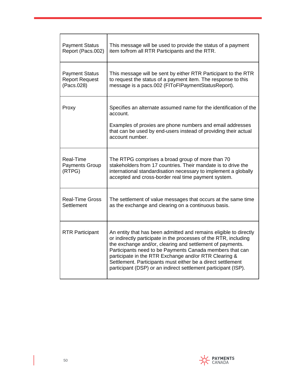| <b>Payment Status</b>                               | This message will be used to provide the status of a payment                                                                                                                                                                                                                                                                                                                                                                                             |
|-----------------------------------------------------|----------------------------------------------------------------------------------------------------------------------------------------------------------------------------------------------------------------------------------------------------------------------------------------------------------------------------------------------------------------------------------------------------------------------------------------------------------|
| Report (Pacs.002)                                   | item to/from all RTR Participants and the RTR.                                                                                                                                                                                                                                                                                                                                                                                                           |
| <b>Payment Status</b>                               | This message will be sent by either RTR Participant to the RTR                                                                                                                                                                                                                                                                                                                                                                                           |
| <b>Report Request</b>                               | to request the status of a payment item. The response to this                                                                                                                                                                                                                                                                                                                                                                                            |
| (Pacs.028)                                          | message is a pacs.002 (FIToFIPaymentStatusReport).                                                                                                                                                                                                                                                                                                                                                                                                       |
| Proxy                                               | Specifies an alternate assumed name for the identification of the<br>account.<br>Examples of proxies are phone numbers and email addresses<br>that can be used by end-users instead of providing their actual<br>account number.                                                                                                                                                                                                                         |
| <b>Real-Time</b><br><b>Payments Group</b><br>(RTPG) | The RTPG comprises a broad group of more than 70<br>stakeholders from 17 countries. Their mandate is to drive the<br>international standardisation necessary to implement a globally<br>accepted and cross-border real time payment system.                                                                                                                                                                                                              |
| <b>Real-Time Gross</b>                              | The settlement of value messages that occurs at the same time                                                                                                                                                                                                                                                                                                                                                                                            |
| Settlement                                          | as the exchange and clearing on a continuous basis.                                                                                                                                                                                                                                                                                                                                                                                                      |
| <b>RTR Participant</b>                              | An entity that has been admitted and remains eligible to directly<br>or indirectly participate in the processes of the RTR, including<br>the exchange and/or, clearing and settlement of payments.<br>Participants need to be Payments Canada members that can<br>participate in the RTR Exchange and/or RTR Clearing &<br>Settlement. Participants must either be a direct settlement<br>participant (DSP) or an indirect settlement participant (ISP). |

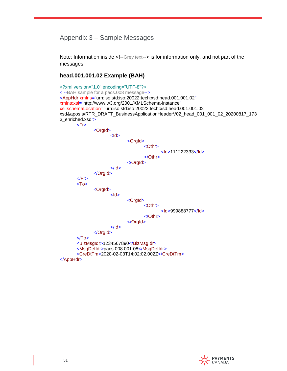# <span id="page-50-0"></span>Appendix 3 – Sample Messages

Note: Information inside <!--Grey text--> is for information only, and not part of the messages.

#### **head.001.001.02 Example (BAH)**

```
<?xml version="1.0" encoding="UTF-8"?>
<!--BAH sample for a pacs.008 message-->
<AppHdr xmlns="urn:iso:std:iso:20022:tech:xsd:head.001.001.02"
xmlns:xsi="http://www.w3.org/2001/XMLSchema-instance"
xsi:schemaLocation="urn:iso:std:iso:20022:tech:xsd:head.001.001.02 
xsd's/RTR_DRAFT_BusinessApplicationHeaderV02_head_001_001_02_20200817_173
3_enriched.xsd">
       <Fr>
              <OrgId>
                      <Id><OrgId>
                                    <Othr>
                                           <Id>111222333</Id>
                                    </Othr>
                             </OrgId>
                      </Id></OrgId>
       </Fr><To><OrgId>
                      <Id><OrgId>
                                    <Othr>
                                           <Id>999888777</Id>
                                    </Othr>
                             </OrgId>
                      </Id></OrgId>
       <To><BizMsgIdr>1234567890</BizMsgIdr>
       <MsgDefIdr>pacs.008.001.08</MsgDefIdr>
       <CreDtTm>2020-02-03T14:02:02.002Z</CreDtTm>
</AppHdr>
```
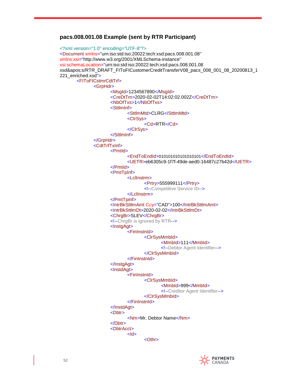#### **pacs.008.001.08 Example (sent by RTR Participant)**

```
<?xml version="1.0" encoding="UTF-8"?>
<Document xmlns="urn:iso:std:iso:20022:tech:xsd:pacs.008.001.08"
xmlns:xsi="http://www.w3.org/2001/XMLSchema-instance"
xsi:schemaLocation="urn:iso:std:iso:20022:tech:xsd:pacs.008.001.08 
xsd&apos:s/RTR_DRAFT_FIToFICustomerCreditTransferV08_pacs_008_001_08_20200813_1
221_enriched.xsd">
       <FIToFICstmrCdtTrf>
               <GrpHdr>
                      <MsgId>1234567890</MsgId>
                      <CreDtTm>2020-02-02T14:02:02.002Z</CreDtTm>
                      <NbOfTxs>1</NbOfTxs>
                      <SttlmInf>
                             <SttlmMtd>CLRG</SttlmMtd>
                             <ClrSys>
                                     <Cd>RTR</Cd>
                             </ClrSys>
                      </SttlmInf>
               </GrpHdr>
               <CdtTrfTxInf>
                      <PmtId>
                             <EndToEndId>010101010101010101</EndToEndId>
                             <UETR>eb6305c9-1f7f-49de-aed0-16487c27b42d</UETR>
                      </PmtId>
                      <PmtTpInf>
                             <LclInstrm>
                                     <Prtry>555999111</Prtry>
                                     <!--Competitive Service ID-->
                             </LclInstrm>
                      </PmtTpInf>
                      <IntrBkSttlmAmt Ccy="CAD">100</IntrBkSttlmAmt>
                      <IntrBkSttlmDt>2020-02-02</IntrBkSttlmDt>
                      <ChrgBr>SLEV</ChrgBr>
                      <!--ChrgBr is ignored by RTR-->
                      <InstgAgt>
                             <FinInstnId>
                                     <ClrSysMmbId>
                                            <MmbId>111</MmbId>
                                            <!--Debtor Agent Identifier-->
                                     </ClrSysMmbId>
                             </FinInstnId>
                      </InstgAgt>
                      <InstdAgt>
                             <FinInstnId>
                                     <ClrSysMmbId>
                                            <MmbId>999</MmbId>
                                            <!--Creditor Agent Identifier-->
                                     </ClrSysMmbId>
                             </FinInstnId>
                      </InstdAgt>
                      <Dbtr>
                             <Nm>Mr. Debtor Name</Nm>
                      </Dbtr>
                      <DbtrAcct>
                             <Id>
                                     <Othr>
```
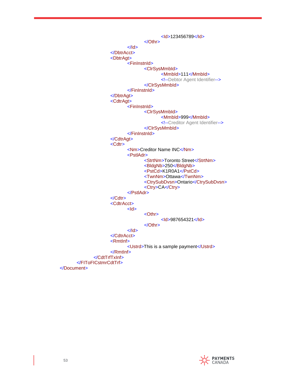<Id>123456789</Id> </Othr>  $<$ /Id $>$ </DbtrAcct> <DbtrAgt> <FinInstnId> <ClrSysMmbId> <MmbId>111</MmbId> <!--Debtor Agent Identifier--> </ClrSysMmbId> </FinInstnId> </DbtrAgt> <CdtrAgt> <FinInstnId> <ClrSysMmbId> <MmbId>999</MmbId> <!--Creditor Agent Identifier--> </ClrSysMmbId> </FinInstnId> </CdtrAgt> <Cdtr> <Nm>Creditor Name INC</Nm> <PstlAdr> <StrtNm>Toronto Street</StrtNm> <BldgNb>250</BldgNb> <PstCd>K1R0A1</PstCd> <TwnNm>Ottawa</TwnNm> <CtrySubDvsn>Ontario</CtrySubDvsn> <Ctry>CA</Ctry> </PstlAdr> </Cdtr> <CdtrAcct> <ld> <Othr> <Id>987654321</Id> </Othr>  $<$ /Id $>$ </CdtrAcct> <RmtInf> <Ustrd>This is a sample payment</Ustrd> </RmtInf> </CdtTrfTxInf> </FIToFICstmrCdtTrf> </Document>

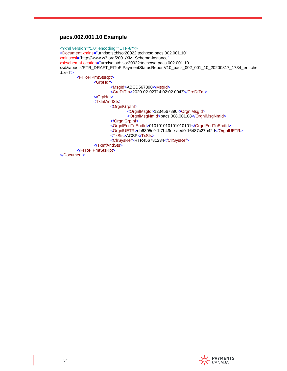#### **pacs.002.001.10 Example**

```
<?xml version="1.0" encoding="UTF-8"?>
<Document xmlns="urn:iso:std:iso:20022:tech:xsd:pacs.002.001.10"
xmlns:xsi="http://www.w3.org/2001/XMLSchema-instance"
xsi:schemaLocation="urn:iso:std:iso:20022:tech:xsd:pacs.002.001.10 
xsd's/RTR_DRAFT_FIToFIPaymentStatusReportV10_pacs_002_001_10_20200817_1734_enriche
d.xsd">
       <FIToFIPmtStsRpt>
               <GrpHdr>
                       <MsgId>ABCD567890</MsgId>
                       <CreDtTm>2020-02-02T14:02:02.004Z</CreDtTm>
               </GrpHdr>
               <TxInfAndSts>
                       <OrgnlGrpInf>
                               <OrgnlMsgId>1234567890</OrgnlMsgId>
                               <OrgnlMsgNmId>pacs.008.001.08</OrgnlMsgNmId>
                       </OrgnlGrpInf>
                       <OrgnlEndToEndId>010101010101010101</OrgnlEndToEndId>
                       <OrgnlUETR>eb6305c9-1f7f-49de-aed0-16487c27b42d</OrgnlUETR>
                       <TxSts>ACSP</TxSts>
                       <ClrSysRef>RTR456781234</ClrSysRef>
               </TxInfAndSts>
       </FIToFIPmtStsRpt>
</Document>
```
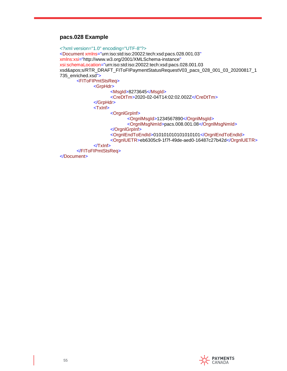#### **pacs.028 Example**

<?xml version="1.0" encoding="UTF-8"?> <Document xmlns="urn:iso:std:iso:20022:tech:xsd:pacs.028.001.03" xmlns:xsi="http://www.w3.org/2001/XMLSchema-instance" xsi:schemaLocation="urn:iso:std:iso:20022:tech:xsd:pacs.028.001.03 xsd's/RTR\_DRAFT\_FIToFIPaymentStatusRequestV03\_pacs\_028\_001\_03\_20200817\_1 735\_enriched.xsd"> <FIToFIPmtStsReq> <GrpHdr> <MsgId>8273645</MsgId> <CreDtTm>2020-02-04T14:02:02.002Z</CreDtTm> </GrpHdr> <TxInf> <OrgnlGrpInf> <OrgnlMsgId>1234567890</OrgnlMsgId> <OrgnlMsgNmId>pacs.008.001.08</OrgnlMsgNmId> </OrgnlGrpInf> <OrgnlEndToEndId>010101010101010101</OrgnlEndToEndId> <OrgnlUETR>eb6305c9-1f7f-49de-aed0-16487c27b42d</OrgnlUETR> </TxInf> </FIToFIPmtStsReq> </Document>

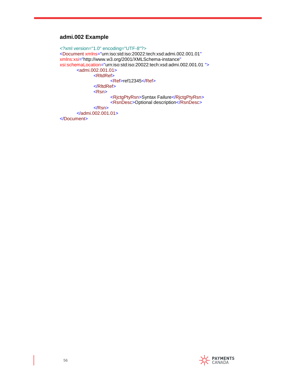## **admi.002 Example**

```
<?xml version="1.0" encoding="UTF-8"?>
<Document xmlns="urn:iso:std:iso:20022:tech:xsd:admi.002.001.01"
xmlns:xsi="http://www.w3.org/2001/XMLSchema-instance"
xsi:schemaLocation="urn:iso:std:iso:20022:tech:xsd:admi.002.001.01 ">
       \leqadmi.002.001.01><RltdRef>
                      <Ref>ref12345</Ref>
               </RltdRef>
               <Rsn>
                      <RjctgPtyRsn>Syntax Failure</RjctgPtyRsn>
                      <RsnDesc>Optional description</RsnDesc>
               </Rsn>
       </admi.002.001.01>
</Document>
```
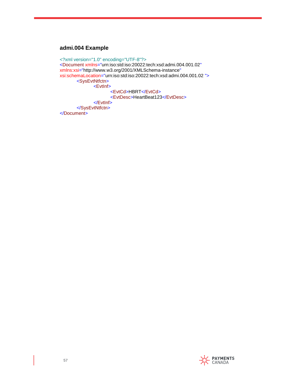# **admi.004 Example**

<?xml version="1.0" encoding="UTF-8"?> <Document xmlns="urn:iso:std:iso:20022:tech:xsd:admi.004.001.02" xmlns:xsi="http://www.w3.org/2001/XMLSchema-instance" xsi:schemaLocation="urn:iso:std:iso:20022:tech:xsd:admi.004.001.02 "> <SysEvtNtfctn> <EvtInf> <EvtCd>HBRT</EvtCd> <EvtDesc>HeartBeat123</EvtDesc> </EvtInf> </SysEvtNtfctn> </Document>